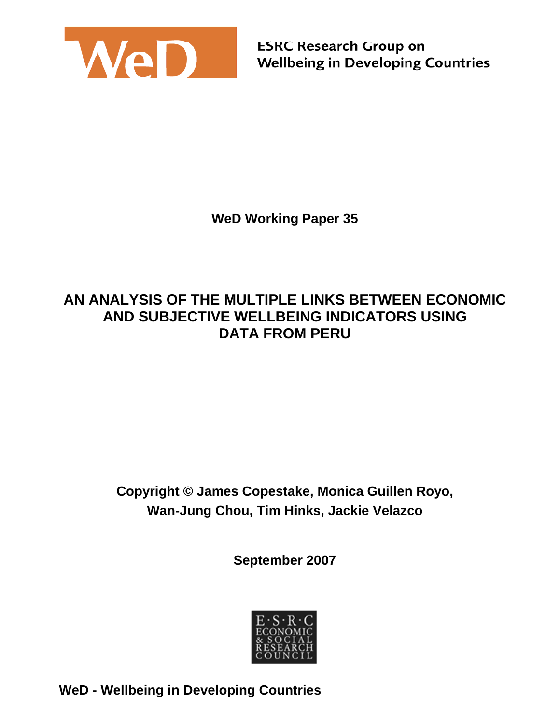

**ESRC Research Group on Wellbeing in Developing Countries** 

**WeD Working Paper 35** 

## **AN ANALYSIS OF THE MULTIPLE LINKS BETWEEN ECONOMIC AND SUBJECTIVE WELLBEING INDICATORS USING DATA FROM PERU**

# **Copyright © James Copestake, Monica Guillen Royo, Wan-Jung Chou, Tim Hinks, Jackie Velazco**

**September 2007** 



**WeD - Wellbeing in Developing Countries**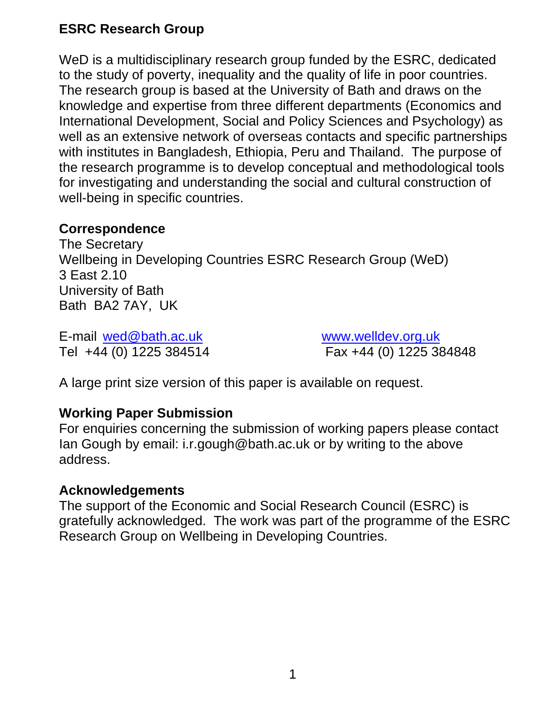## **ESRC Research Group**

WeD is a multidisciplinary research group funded by the ESRC, dedicated to the study of poverty, inequality and the quality of life in poor countries. The research group is based at the University of Bath and draws on the knowledge and expertise from three different departments (Economics and International Development, Social and Policy Sciences and Psychology) as well as an extensive network of overseas contacts and specific partnerships with institutes in Bangladesh, Ethiopia, Peru and Thailand. The purpose of the research programme is to develop conceptual and methodological tools for investigating and understanding the social and cultural construction of well-being in specific countries.

#### **Correspondence**

The Secretary Wellbeing in Developing Countries ESRC Research Group (WeD) 3 East 2.10 University of Bath Bath BA2 7AY, UK

E-mail wed@bath.ac.uk www.welldev.org.uk

Tel +44 (0) 1225 384514 Fax +44 (0) 1225 384848

A large print size version of this paper is available on request.

#### **Working Paper Submission**

For enquiries concerning the submission of working papers please contact Ian Gough by email: i.r.gough@bath.ac.uk or by writing to the above address.

#### **Acknowledgements**

The support of the Economic and Social Research Council (ESRC) is gratefully acknowledged. The work was part of the programme of the ESRC Research Group on Wellbeing in Developing Countries.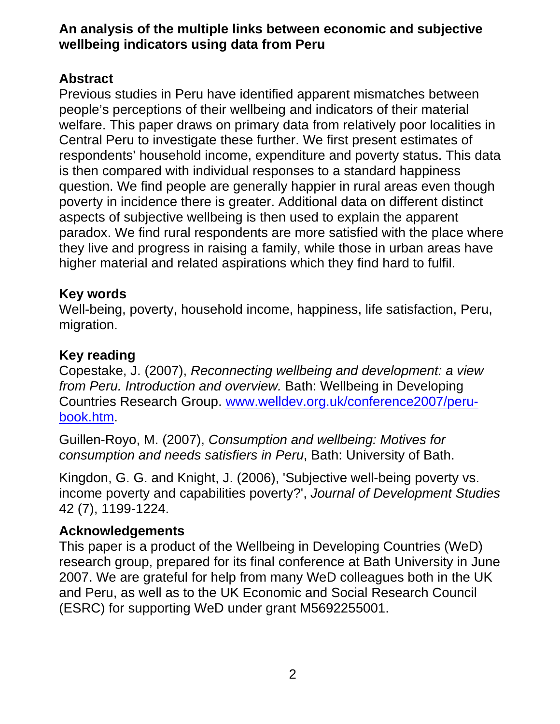#### **An analysis of the multiple links between economic and subjective wellbeing indicators using data from Peru**

### **Abstract**

Previous studies in Peru have identified apparent mismatches between people's perceptions of their wellbeing and indicators of their material welfare. This paper draws on primary data from relatively poor localities in Central Peru to investigate these further. We first present estimates of respondents' household income, expenditure and poverty status. This data is then compared with individual responses to a standard happiness question. We find people are generally happier in rural areas even though poverty in incidence there is greater. Additional data on different distinct aspects of subjective wellbeing is then used to explain the apparent paradox. We find rural respondents are more satisfied with the place where they live and progress in raising a family, while those in urban areas have higher material and related aspirations which they find hard to fulfil.

### **Key words**

Well-being, poverty, household income, happiness, life satisfaction, Peru, migration.

### **Key reading**

Copestake, J. (2007), *Reconnecting wellbeing and development: a view from Peru. Introduction and overview.* Bath: Wellbeing in Developing Countries Research Group. www.welldev.org.uk/conference2007/perubook.htm.

Guillen-Royo, M. (2007), *Consumption and wellbeing: Motives for consumption and needs satisfiers in Peru*, Bath: University of Bath.

Kingdon, G. G. and Knight, J. (2006), 'Subjective well-being poverty vs. income poverty and capabilities poverty?', *Journal of Development Studies* 42 (7), 1199-1224.

### **Acknowledgements**

This paper is a product of the Wellbeing in Developing Countries (WeD) research group, prepared for its final conference at Bath University in June 2007. We are grateful for help from many WeD colleagues both in the UK and Peru, as well as to the UK Economic and Social Research Council (ESRC) for supporting WeD under grant M5692255001.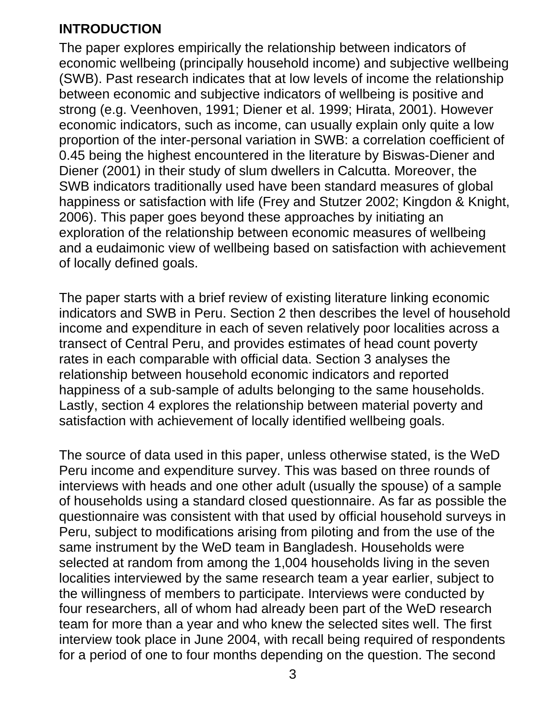### **INTRODUCTION**

The paper explores empirically the relationship between indicators of economic wellbeing (principally household income) and subjective wellbeing (SWB). Past research indicates that at low levels of income the relationship between economic and subjective indicators of wellbeing is positive and strong (e.g. Veenhoven, 1991; Diener et al. 1999; Hirata, 2001). However economic indicators, such as income, can usually explain only quite a low proportion of the inter-personal variation in SWB: a correlation coefficient of 0.45 being the highest encountered in the literature by Biswas-Diener and Diener (2001) in their study of slum dwellers in Calcutta. Moreover, the SWB indicators traditionally used have been standard measures of global happiness or satisfaction with life (Frey and Stutzer 2002; Kingdon & Knight, 2006). This paper goes beyond these approaches by initiating an exploration of the relationship between economic measures of wellbeing and a eudaimonic view of wellbeing based on satisfaction with achievement of locally defined goals.

The paper starts with a brief review of existing literature linking economic indicators and SWB in Peru. Section 2 then describes the level of household income and expenditure in each of seven relatively poor localities across a transect of Central Peru, and provides estimates of head count poverty rates in each comparable with official data. Section 3 analyses the relationship between household economic indicators and reported happiness of a sub-sample of adults belonging to the same households. Lastly, section 4 explores the relationship between material poverty and satisfaction with achievement of locally identified wellbeing goals.

The source of data used in this paper, unless otherwise stated, is the WeD Peru income and expenditure survey. This was based on three rounds of interviews with heads and one other adult (usually the spouse) of a sample of households using a standard closed questionnaire. As far as possible the questionnaire was consistent with that used by official household surveys in Peru, subject to modifications arising from piloting and from the use of the same instrument by the WeD team in Bangladesh. Households were selected at random from among the 1,004 households living in the seven localities interviewed by the same research team a year earlier, subject to the willingness of members to participate. Interviews were conducted by four researchers, all of whom had already been part of the WeD research team for more than a year and who knew the selected sites well. The first interview took place in June 2004, with recall being required of respondents for a period of one to four months depending on the question. The second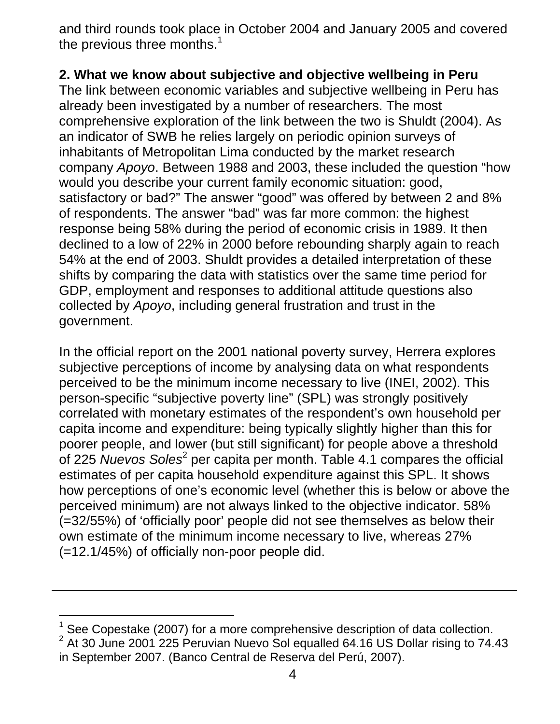and third rounds took place in October 2004 and January 2005 and covered the previous three months.<sup>1</sup>

### **2. What we know about subjective and objective wellbeing in Peru**

The link between economic variables and subjective wellbeing in Peru has already been investigated by a number of researchers. The most comprehensive exploration of the link between the two is Shuldt (2004). As an indicator of SWB he relies largely on periodic opinion surveys of inhabitants of Metropolitan Lima conducted by the market research company *Apoyo*. Between 1988 and 2003, these included the question "how would you describe your current family economic situation: good, satisfactory or bad?" The answer "good" was offered by between 2 and 8% of respondents. The answer "bad" was far more common: the highest response being 58% during the period of economic crisis in 1989. It then declined to a low of 22% in 2000 before rebounding sharply again to reach 54% at the end of 2003. Shuldt provides a detailed interpretation of these shifts by comparing the data with statistics over the same time period for GDP, employment and responses to additional attitude questions also collected by *Apoyo*, including general frustration and trust in the government.

In the official report on the 2001 national poverty survey, Herrera explores subjective perceptions of income by analysing data on what respondents perceived to be the minimum income necessary to live (INEI, 2002). This person-specific "subjective poverty line" (SPL) was strongly positively correlated with monetary estimates of the respondent's own household per capita income and expenditure: being typically slightly higher than this for poorer people, and lower (but still significant) for people above a threshold of 225 *Nuevos Soles*<sup>2</sup> per capita per month. Table 4.1 compares the official estimates of per capita household expenditure against this SPL. It shows how perceptions of one's economic level (whether this is below or above the perceived minimum) are not always linked to the objective indicator. 58% (=32/55%) of 'officially poor' people did not see themselves as below their own estimate of the minimum income necessary to live, whereas 27% (=12.1/45%) of officially non-poor people did.

 1 See Copestake (2007) for a more comprehensive description of data collection.  $2$  At 30 June 2001 225 Peruvian Nuevo Sol equalled 64.16 US Dollar rising to 74.43 in September 2007. (Banco Central de Reserva del Perú, 2007).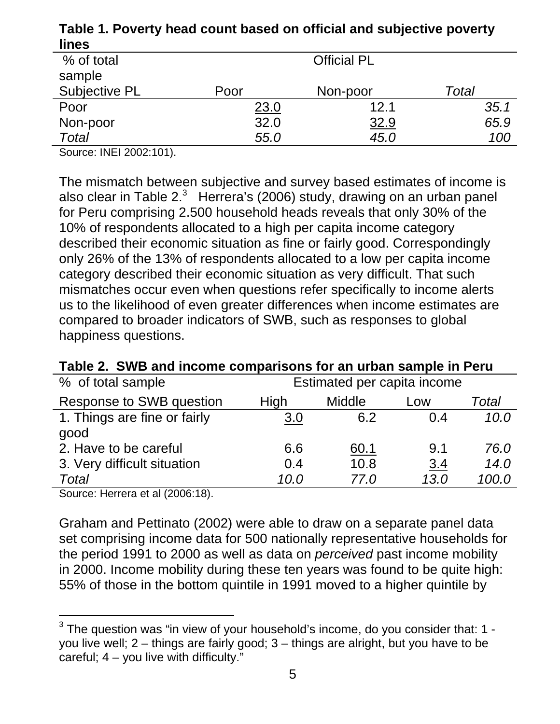| lines         |                    |             |       |  |
|---------------|--------------------|-------------|-------|--|
| % of total    | <b>Official PL</b> |             |       |  |
| sample        |                    |             |       |  |
| Subjective PL | Poor               | Non-poor    | Total |  |
| Poor          | 23.0               | 12.1        | 35.1  |  |
| Non-poor      | 32.0               | <u>32.9</u> | 65.9  |  |
| <b>Total</b>  | 55.0               | 45.0        | 100   |  |

**Table 1. Poverty head count based on official and subjective poverty lines**

Source: INEI 2002:101).

The mismatch between subjective and survey based estimates of income is also clear in Table 2. $3$  Herrera's (2006) study, drawing on an urban panel for Peru comprising 2.500 household heads reveals that only 30% of the 10% of respondents allocated to a high per capita income category described their economic situation as fine or fairly good. Correspondingly only 26% of the 13% of respondents allocated to a low per capita income category described their economic situation as very difficult. That such mismatches occur even when questions refer specifically to income alerts us to the likelihood of even greater differences when income estimates are compared to broader indicators of SWB, such as responses to global happiness questions.

| Table 2. Single and income comparisons for an urban sample in Peru |      |                             |            |       |
|--------------------------------------------------------------------|------|-----------------------------|------------|-------|
| % of total sample                                                  |      | Estimated per capita income |            |       |
| Response to SWB question                                           | High | <b>Middle</b>               | Low        | Total |
| 1. Things are fine or fairly                                       | 3.0  | 6.2                         | 0.4        | 10.0  |
| good                                                               |      |                             |            |       |
| 2. Have to be careful                                              | 6.6  | 60.1                        | 9.1        | 76.0  |
| 3. Very difficult situation                                        | 0.4  | 10.8                        | <u>3.4</u> | 14.0  |
| Total                                                              | 10.0 | 77.0                        | 13.0       | 100.0 |

**Table 2. SWB and income comparisons for an urban sample in Peru**

Source: Herrera et al (2006:18).

Graham and Pettinato (2002) were able to draw on a separate panel data set comprising income data for 500 nationally representative households for the period 1991 to 2000 as well as data on *perceived* past income mobility in 2000. Income mobility during these ten years was found to be quite high: 55% of those in the bottom quintile in 1991 moved to a higher quintile by

 3 The question was "in view of your household's income, do you consider that: 1 you live well; 2 – things are fairly good; 3 – things are alright, but you have to be careful;  $4 - \text{you live with difficulty.}$ "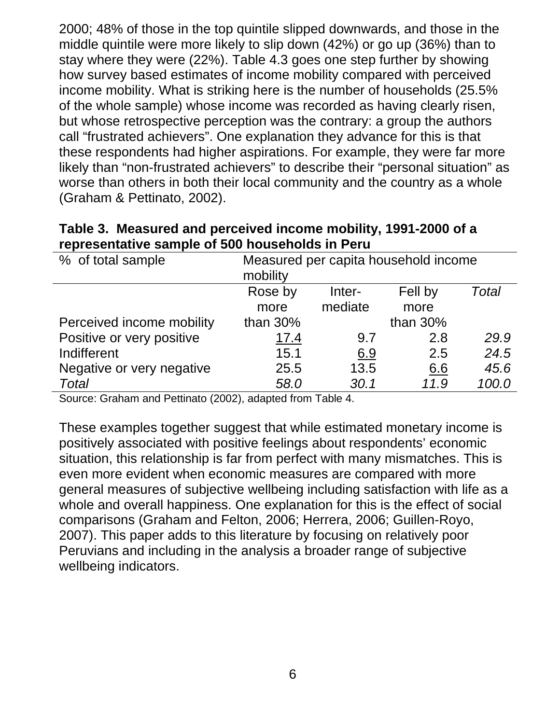2000; 48% of those in the top quintile slipped downwards, and those in the middle quintile were more likely to slip down (42%) or go up (36%) than to stay where they were (22%). Table 4.3 goes one step further by showing how survey based estimates of income mobility compared with perceived income mobility. What is striking here is the number of households (25.5% of the whole sample) whose income was recorded as having clearly risen, but whose retrospective perception was the contrary: a group the authors call "frustrated achievers". One explanation they advance for this is that these respondents had higher aspirations. For example, they were far more likely than "non-frustrated achievers" to describe their "personal situation" as worse than others in both their local community and the country as a whole (Graham & Pettinato, 2002).

| Table 3. Measured and perceived income mobility, 1991-2000 of a |                                      |  |  |  |  |
|-----------------------------------------------------------------|--------------------------------------|--|--|--|--|
| representative sample of 500 households in Peru                 |                                      |  |  |  |  |
| % of total sample                                               | Measured per capita household income |  |  |  |  |

| % of total sample         | Measured per capita household income |            |             |       |
|---------------------------|--------------------------------------|------------|-------------|-------|
|                           | mobility                             |            |             |       |
|                           | Rose by                              | Inter-     | Fell by     | Total |
|                           | more                                 | mediate    | more        |       |
| Perceived income mobility | than 30%                             |            | than $30\%$ |       |
| Positive or very positive | 17.4                                 | 9.7        | 2.8         | 29.9  |
| Indifferent               | 15.1                                 | <u>6.9</u> | 2.5         | 24.5  |
| Negative or very negative | 25.5                                 | 13.5       | 6.6         | 45.6  |
| <b>Total</b>              | 58.0                                 | 30.1       | 11.9        | 100.0 |

Source: Graham and Pettinato (2002), adapted from Table 4.

These examples together suggest that while estimated monetary income is positively associated with positive feelings about respondents' economic situation, this relationship is far from perfect with many mismatches. This is even more evident when economic measures are compared with more general measures of subjective wellbeing including satisfaction with life as a whole and overall happiness. One explanation for this is the effect of social comparisons (Graham and Felton, 2006; Herrera, 2006; Guillen-Royo, 2007). This paper adds to this literature by focusing on relatively poor Peruvians and including in the analysis a broader range of subjective wellbeing indicators.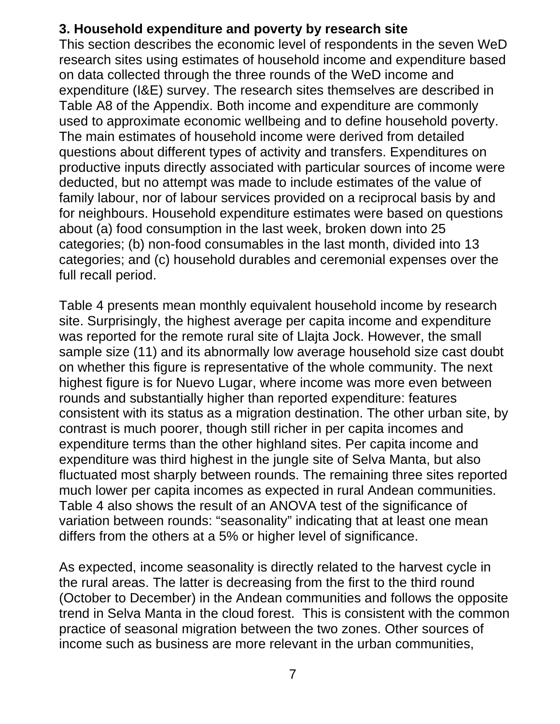## **3. Household expenditure and poverty by research site**

This section describes the economic level of respondents in the seven WeD research sites using estimates of household income and expenditure based on data collected through the three rounds of the WeD income and expenditure (I&E) survey. The research sites themselves are described in Table A8 of the Appendix. Both income and expenditure are commonly used to approximate economic wellbeing and to define household poverty. The main estimates of household income were derived from detailed questions about different types of activity and transfers. Expenditures on productive inputs directly associated with particular sources of income were deducted, but no attempt was made to include estimates of the value of family labour, nor of labour services provided on a reciprocal basis by and for neighbours. Household expenditure estimates were based on questions about (a) food consumption in the last week, broken down into 25 categories; (b) non-food consumables in the last month, divided into 13 categories; and (c) household durables and ceremonial expenses over the full recall period.

Table 4 presents mean monthly equivalent household income by research site. Surprisingly, the highest average per capita income and expenditure was reported for the remote rural site of Llajta Jock. However, the small sample size (11) and its abnormally low average household size cast doubt on whether this figure is representative of the whole community. The next highest figure is for Nuevo Lugar, where income was more even between rounds and substantially higher than reported expenditure: features consistent with its status as a migration destination. The other urban site, by contrast is much poorer, though still richer in per capita incomes and expenditure terms than the other highland sites. Per capita income and expenditure was third highest in the jungle site of Selva Manta, but also fluctuated most sharply between rounds. The remaining three sites reported much lower per capita incomes as expected in rural Andean communities. Table 4 also shows the result of an ANOVA test of the significance of variation between rounds: "seasonality" indicating that at least one mean differs from the others at a 5% or higher level of significance.

As expected, income seasonality is directly related to the harvest cycle in the rural areas. The latter is decreasing from the first to the third round (October to December) in the Andean communities and follows the opposite trend in Selva Manta in the cloud forest. This is consistent with the common practice of seasonal migration between the two zones. Other sources of income such as business are more relevant in the urban communities,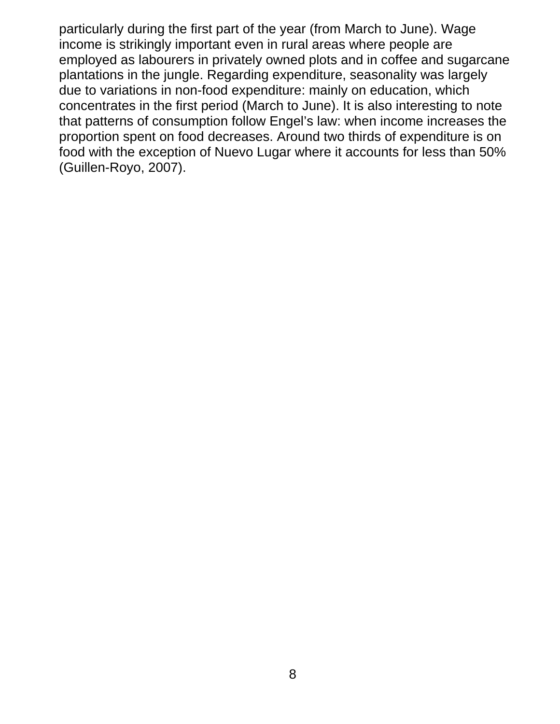particularly during the first part of the year (from March to June). Wage income is strikingly important even in rural areas where people are employed as labourers in privately owned plots and in coffee and sugarcane plantations in the jungle. Regarding expenditure, seasonality was largely due to variations in non-food expenditure: mainly on education, which concentrates in the first period (March to June). It is also interesting to note that patterns of consumption follow Engel's law: when income increases the proportion spent on food decreases. Around two thirds of expenditure is on food with the exception of Nuevo Lugar where it accounts for less than 50% (Guillen-Royo, 2007).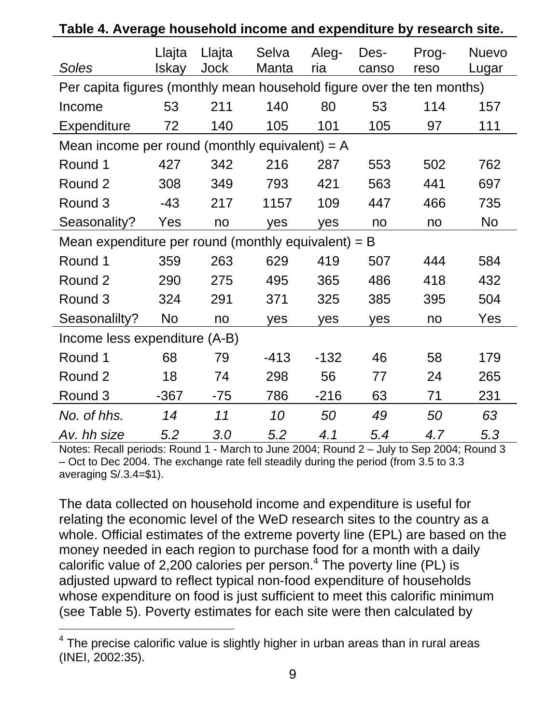|                                                                        |                 |                | $\sim$ neasonoid moonic and oxponditure by |              |               |               |                       |  |
|------------------------------------------------------------------------|-----------------|----------------|--------------------------------------------|--------------|---------------|---------------|-----------------------|--|
| Soles                                                                  | Llajta<br>Iskay | Llajta<br>Jock | Selva<br>Manta                             | Aleg-<br>ria | Des-<br>canso | Prog-<br>reso | <b>Nuevo</b><br>Lugar |  |
| Per capita figures (monthly mean household figure over the ten months) |                 |                |                                            |              |               |               |                       |  |
| Income                                                                 | 53              | 211            | 140                                        | 80           | 53            | 114           | 157                   |  |
| <b>Expenditure</b>                                                     | 72              | 140            | 105                                        | 101          | 105           | 97            | 111                   |  |
| Mean income per round (monthly equivalent) = $A$                       |                 |                |                                            |              |               |               |                       |  |
| Round 1                                                                | 427             | 342            | 216                                        | 287          | 553           | 502           | 762                   |  |
| Round 2                                                                | 308             | 349            | 793                                        | 421          | 563           | 441           | 697                   |  |
| Round 3                                                                | $-43$           | 217            | 1157                                       | 109          | 447           | 466           | 735                   |  |
| Seasonality?                                                           | Yes             | no             | yes                                        | yes          | no            | no            | No                    |  |
| Mean expenditure per round (monthly equivalent) = $B$                  |                 |                |                                            |              |               |               |                       |  |
| Round 1                                                                | 359             | 263            | 629                                        | 419          | 507           | 444           | 584                   |  |
| Round 2                                                                | 290             | 275            | 495                                        | 365          | 486           | 418           | 432                   |  |
| Round 3                                                                | 324             | 291            | 371                                        | 325          | 385           | 395           | 504                   |  |
| Seasonalilty?                                                          | No              | no             | <b>ves</b>                                 | <b>yes</b>   | <b>ves</b>    | no            | Yes                   |  |
| Income less expenditure (A-B)                                          |                 |                |                                            |              |               |               |                       |  |
| Round 1                                                                | 68              | 79             | $-413$                                     | $-132$       | 46            | 58            | 179                   |  |
| Round 2                                                                | 18              | 74             | 298                                        | 56           | 77            | 24            | 265                   |  |
| Round 3                                                                | $-367$          | $-75$          | 786                                        | $-216$       | 63            | 71            | 231                   |  |
| No. of hhs.                                                            | 14              | 11             | 10                                         | 50           | 49            | 50            | 63                    |  |
| Av. hh size                                                            | 5.2             | 3.0            | 5.2                                        | 4.1          | 5.4           | 4.7           | 5.3                   |  |

| Table 4. Average household income and expenditure by research site. |  |
|---------------------------------------------------------------------|--|
|                                                                     |  |

Notes: Recall periods: Round 1 - March to June 2004; Round 2 – July to Sep 2004; Round 3 – Oct to Dec 2004. The exchange rate fell steadily during the period (from 3.5 to 3.3 averaging S/.3.4=\$1).

The data collected on household income and expenditure is useful for relating the economic level of the WeD research sites to the country as a whole. Official estimates of the extreme poverty line (EPL) are based on the money needed in each region to purchase food for a month with a daily calorific value of 2,200 calories per person.<sup>4</sup> The poverty line (PL) is adjusted upward to reflect typical non-food expenditure of households whose expenditure on food is just sufficient to meet this calorific minimum (see Table 5). Poverty estimates for each site were then calculated by

l

 $4$  The precise calorific value is slightly higher in urban areas than in rural areas (INEI, 2002:35).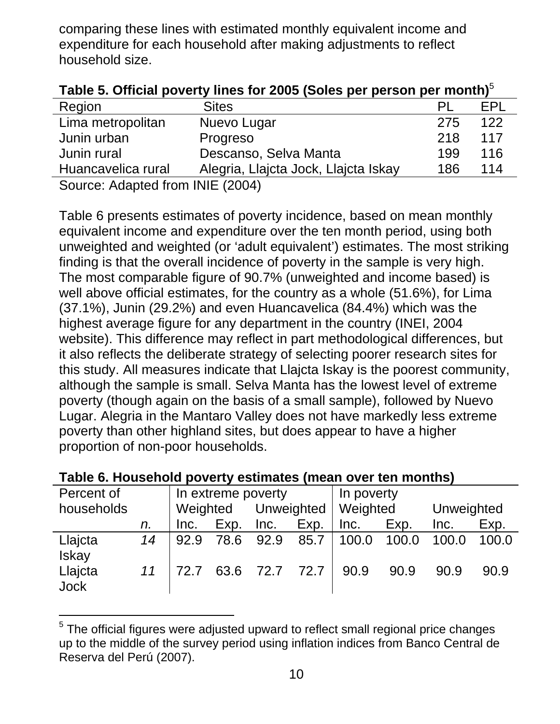comparing these lines with estimated monthly equivalent income and expenditure for each household after making adjustments to reflect household size.

| Table 5. Official poverty lines for 2005 (Soles per person per month) $\degree$ |                                      |     |            |  |  |  |
|---------------------------------------------------------------------------------|--------------------------------------|-----|------------|--|--|--|
| Region                                                                          | <b>Sites</b>                         |     | <b>FPI</b> |  |  |  |
| Lima metropolitan                                                               | Nuevo Lugar                          | 275 | 122        |  |  |  |
| Junin urban                                                                     | Progreso                             | 218 | 117        |  |  |  |
| Junin rural                                                                     | Descanso, Selva Manta                | 199 | 116        |  |  |  |
| Huancavelica rural                                                              | Alegria, Llajcta Jock, Llajcta Iskay | 186 | 114        |  |  |  |
| Source: Adapted from INIF (2004)                                                |                                      |     |            |  |  |  |

| Table 5. Official poverty lines for 2005 (Soles per person per month) <sup>5</sup> |  |  |
|------------------------------------------------------------------------------------|--|--|
|------------------------------------------------------------------------------------|--|--|

Source: Adapted from INIE (2004)

l

Table 6 presents estimates of poverty incidence, based on mean monthly equivalent income and expenditure over the ten month period, using both unweighted and weighted (or 'adult equivalent') estimates. The most striking finding is that the overall incidence of poverty in the sample is very high. The most comparable figure of 90.7% (unweighted and income based) is well above official estimates, for the country as a whole (51.6%), for Lima (37.1%), Junin (29.2%) and even Huancavelica (84.4%) which was the highest average figure for any department in the country (INEI, 2004 website). This difference may reflect in part methodological differences, but it also reflects the deliberate strategy of selecting poorer research sites for this study. All measures indicate that Llajcta Iskay is the poorest community, although the sample is small. Selva Manta has the lowest level of extreme poverty (though again on the basis of a small sample), followed by Nuevo Lugar. Alegria in the Mantaro Valley does not have markedly less extreme poverty than other highland sites, but does appear to have a higher proportion of non-poor households.

| Percent of              |    |      |           | In extreme poverty  |      | In poverty                     |       |            |       |
|-------------------------|----|------|-----------|---------------------|------|--------------------------------|-------|------------|-------|
| households              |    |      |           |                     |      | Weighted Unweighted   Weighted |       | Unweighted |       |
|                         | n. | Inc. | Exp.      | Inc.                | Exp. | Inc.                           | Exp.  | Inc.       | Exp.  |
| Llajcta<br><b>Iskay</b> | 14 | 92.9 | 78.6 92.9 |                     | 85.7 | 100.0                          | 100.0 | 100.0      | 100.0 |
| Llajcta<br><b>Jock</b>  | 11 |      |           | 72.7 63.6 72.7 72.7 |      | 90.9                           | 90.9  | 90.9       | 90.9  |

**Table 6. Household poverty estimates (mean over ten months)** 

 $5$  The official figures were adjusted upward to reflect small regional price changes up to the middle of the survey period using inflation indices from Banco Central de Reserva del Perú (2007).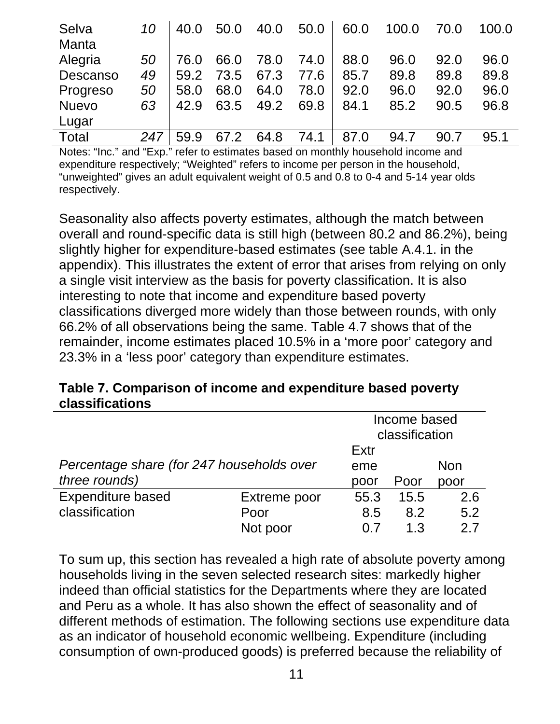| Selva        | 10  | 40.0 | 50.0 | 40.0 | 50.0 | 60.0 | 100.0 | 70.0 | 100.0 |
|--------------|-----|------|------|------|------|------|-------|------|-------|
| <b>Manta</b> |     |      |      |      |      |      |       |      |       |
| Alegria      | 50  | 76.0 | 66.0 | 78.0 | 74.0 | 88.0 | 96.0  | 92.0 | 96.0  |
| Descanso     | 49  | 59.2 | 73.5 | 67.3 | 77.6 | 85.7 | 89.8  | 89.8 | 89.8  |
| Progreso     | 50  | 58.0 | 68.0 | 64.0 | 78.0 | 92.0 | 96.0  | 92.0 | 96.0  |
| <b>Nuevo</b> | 63  | 42.9 | 63.5 | 49.2 | 69.8 | 84.1 | 85.2  | 90.5 | 96.8  |
| Lugar        |     |      |      |      |      |      |       |      |       |
| Total        | 247 | 59.9 | 67.2 | 64.8 | 74.1 | 87.0 | 94.7  | 90.7 | 95.1  |

Notes: "Inc." and "Exp." refer to estimates based on monthly household income and expenditure respectively; "Weighted" refers to income per person in the household, "unweighted" gives an adult equivalent weight of 0.5 and 0.8 to 0-4 and 5-14 year olds respectively.

Seasonality also affects poverty estimates, although the match between overall and round-specific data is still high (between 80.2 and 86.2%), being slightly higher for expenditure-based estimates (see table A.4.1. in the appendix). This illustrates the extent of error that arises from relying on only a single visit interview as the basis for poverty classification. It is also interesting to note that income and expenditure based poverty classifications diverged more widely than those between rounds, with only 66.2% of all observations being the same. Table 4.7 shows that of the remainder, income estimates placed 10.5% in a 'more poor' category and 23.3% in a 'less poor' category than expenditure estimates.

#### **Table 7. Comparison of income and expenditure based poverty classifications**

|                                           |              | Income based<br>classification |            |      |
|-------------------------------------------|--------------|--------------------------------|------------|------|
|                                           |              | Extr                           |            |      |
| Percentage share (for 247 households over | eme          |                                | <b>Non</b> |      |
| three rounds)                             |              | poor                           | Poor       | poor |
| <b>Expenditure based</b>                  | Extreme poor | 55.3                           | 15.5       | 2.6  |
| classification                            | Poor         | 8.5                            | 8.2        | 5.2  |
|                                           | Not poor     | $\Omega$                       | 1.3        | 27   |

To sum up, this section has revealed a high rate of absolute poverty among households living in the seven selected research sites: markedly higher indeed than official statistics for the Departments where they are located and Peru as a whole. It has also shown the effect of seasonality and of different methods of estimation. The following sections use expenditure data as an indicator of household economic wellbeing. Expenditure (including consumption of own-produced goods) is preferred because the reliability of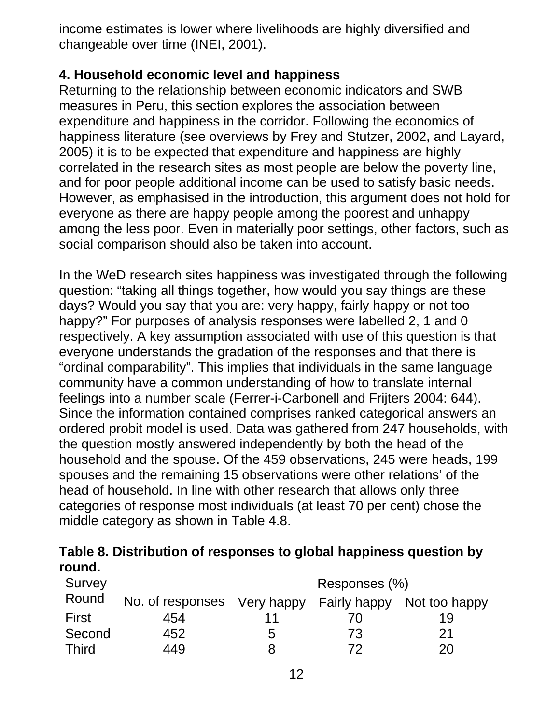income estimates is lower where livelihoods are highly diversified and changeable over time (INEI, 2001).

### **4. Household economic level and happiness**

Returning to the relationship between economic indicators and SWB measures in Peru, this section explores the association between expenditure and happiness in the corridor. Following the economics of happiness literature (see overviews by Frey and Stutzer, 2002, and Layard, 2005) it is to be expected that expenditure and happiness are highly correlated in the research sites as most people are below the poverty line, and for poor people additional income can be used to satisfy basic needs. However, as emphasised in the introduction, this argument does not hold for everyone as there are happy people among the poorest and unhappy among the less poor. Even in materially poor settings, other factors, such as social comparison should also be taken into account.

In the WeD research sites happiness was investigated through the following question: "taking all things together, how would you say things are these days? Would you say that you are: very happy, fairly happy or not too happy?" For purposes of analysis responses were labelled 2, 1 and 0 respectively. A key assumption associated with use of this question is that everyone understands the gradation of the responses and that there is "ordinal comparability". This implies that individuals in the same language community have a common understanding of how to translate internal feelings into a number scale (Ferrer-i-Carbonell and Frijters 2004: 644). Since the information contained comprises ranked categorical answers an ordered probit model is used. Data was gathered from 247 households, with the question mostly answered independently by both the head of the household and the spouse. Of the 459 observations, 245 were heads, 199 spouses and the remaining 15 observations were other relations' of the head of household. In line with other research that allows only three categories of response most individuals (at least 70 per cent) chose the middle category as shown in Table 4.8.

|        | Table 8. Distribution of responses to global happiness question by |
|--------|--------------------------------------------------------------------|
| round. |                                                                    |

| Survey       |                  |            | Responses (%)       |               |
|--------------|------------------|------------|---------------------|---------------|
| Round        | No. of responses | Very happy | <b>Fairly happy</b> | Not too happy |
| <b>First</b> | 454              |            |                     | 19            |
| Second       | 452              | 5          | 73                  | 21            |
| <b>Third</b> | 449              |            | フワ                  | 20            |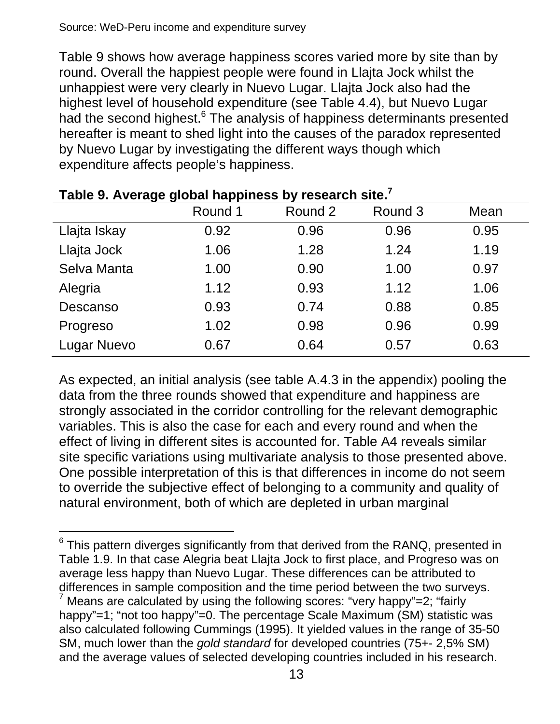l

Table 9 shows how average happiness scores varied more by site than by round. Overall the happiest people were found in Llajta Jock whilst the unhappiest were very clearly in Nuevo Lugar. Llajta Jock also had the highest level of household expenditure (see Table 4.4), but Nuevo Lugar had the second highest.<sup>6</sup> The analysis of happiness determinants presented hereafter is meant to shed light into the causes of the paradox represented by Nuevo Lugar by investigating the different ways though which expenditure affects people's happiness.

| rable 5. Average grobal happiness by research site. | Round 1 | Round 2 | Round 3 | Mean |
|-----------------------------------------------------|---------|---------|---------|------|
| Llajta Iskay                                        | 0.92    | 0.96    | 0.96    | 0.95 |
| Llajta Jock                                         | 1.06    | 1.28    | 1.24    | 1.19 |
| Selva Manta                                         | 1.00    | 0.90    | 1.00    | 0.97 |
| Alegria                                             | 1.12    | 0.93    | 1.12    | 1.06 |
| Descanso                                            | 0.93    | 0.74    | 0.88    | 0.85 |
| Progreso                                            | 1.02    | 0.98    | 0.96    | 0.99 |
| <b>Lugar Nuevo</b>                                  | 0.67    | 0.64    | 0.57    | 0.63 |

#### **Table 9. Average global happiness by research site.7**

As expected, an initial analysis (see table A.4.3 in the appendix) pooling the data from the three rounds showed that expenditure and happiness are strongly associated in the corridor controlling for the relevant demographic variables. This is also the case for each and every round and when the effect of living in different sites is accounted for. Table A4 reveals similar site specific variations using multivariate analysis to those presented above. One possible interpretation of this is that differences in income do not seem to override the subjective effect of belonging to a community and quality of natural environment, both of which are depleted in urban marginal

 $^6$  This pattern diverges significantly from that derived from the RANQ, presented in Table 1.9. In that case Alegria beat Llajta Jock to first place, and Progreso was on average less happy than Nuevo Lugar. These differences can be attributed to differences in sample composition and the time period between the two surveys.  $7$  Means are calculated by using the following scores: "very happy"=2; "fairly happy"=1; "not too happy"=0. The percentage Scale Maximum (SM) statistic was also calculated following Cummings (1995). It yielded values in the range of 35-50 SM, much lower than the *gold standard* for developed countries (75+- 2,5% SM) and the average values of selected developing countries included in his research.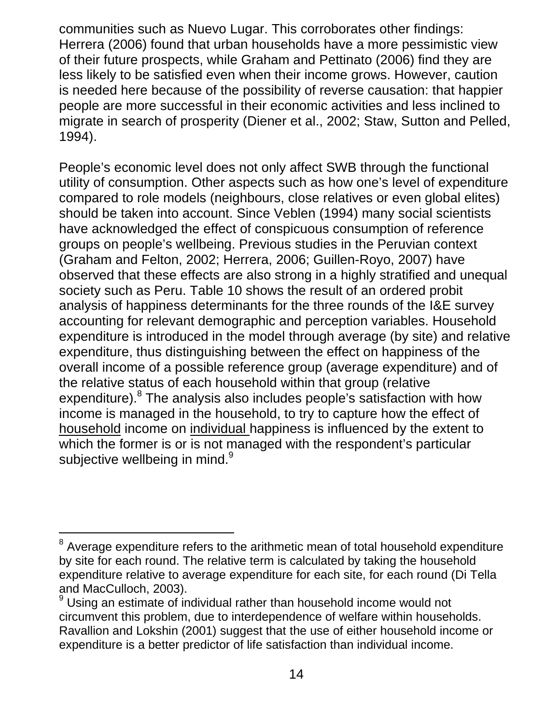communities such as Nuevo Lugar. This corroborates other findings: Herrera (2006) found that urban households have a more pessimistic view of their future prospects, while Graham and Pettinato (2006) find they are less likely to be satisfied even when their income grows. However, caution is needed here because of the possibility of reverse causation: that happier people are more successful in their economic activities and less inclined to migrate in search of prosperity (Diener et al., 2002; Staw, Sutton and Pelled, 1994).

People's economic level does not only affect SWB through the functional utility of consumption. Other aspects such as how one's level of expenditure compared to role models (neighbours, close relatives or even global elites) should be taken into account. Since Veblen (1994) many social scientists have acknowledged the effect of conspicuous consumption of reference groups on people's wellbeing. Previous studies in the Peruvian context (Graham and Felton, 2002; Herrera, 2006; Guillen-Royo, 2007) have observed that these effects are also strong in a highly stratified and unequal society such as Peru. Table 10 shows the result of an ordered probit analysis of happiness determinants for the three rounds of the I&E survey accounting for relevant demographic and perception variables. Household expenditure is introduced in the model through average (by site) and relative expenditure, thus distinguishing between the effect on happiness of the overall income of a possible reference group (average expenditure) and of the relative status of each household within that group (relative expenditure).<sup>8</sup> The analysis also includes people's satisfaction with how income is managed in the household, to try to capture how the effect of household income on individual happiness is influenced by the extent to which the former is or is not managed with the respondent's particular subjective wellbeing in mind. $^9$ 

l

 $8$  Average expenditure refers to the arithmetic mean of total household expenditure by site for each round. The relative term is calculated by taking the household expenditure relative to average expenditure for each site, for each round (Di Tella and MacCulloch, 2003).

<sup>9</sup> Using an estimate of individual rather than household income would not circumvent this problem, due to interdependence of welfare within households. Ravallion and Lokshin (2001) suggest that the use of either household income or expenditure is a better predictor of life satisfaction than individual income.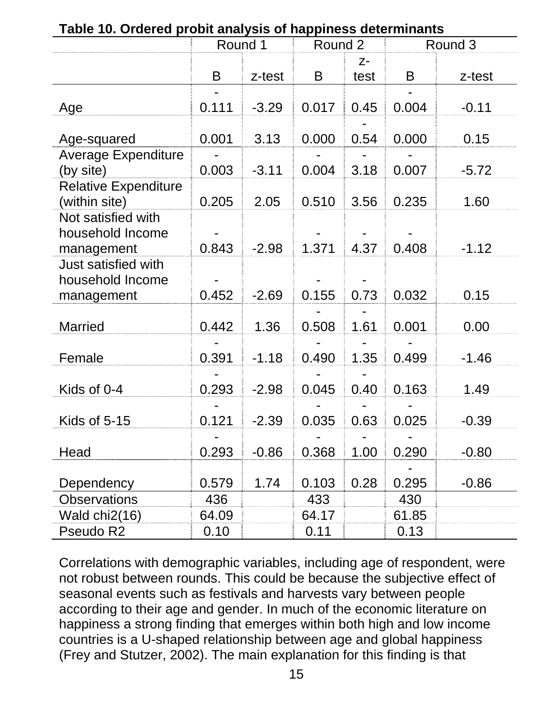| rapic TV. Ordered propit analysis or happiness determinants | Round 1 |         | Round 2 |              |       | Round 3 |
|-------------------------------------------------------------|---------|---------|---------|--------------|-------|---------|
|                                                             |         |         |         |              |       |         |
|                                                             | B       | z-test  | B       | $Z-$<br>test | B     | z-test  |
| Age                                                         | 0.111   | $-3.29$ | 0.017   | 0.45         | 0.004 | $-0.11$ |
| Age-squared                                                 | 0.001   | 3.13    | 0.000   | 0.54         | 0.000 | 0.15    |
| <b>Average Expenditure</b><br>(by site)                     | 0.003   | $-3.11$ | 0.004   | 3.18         | 0.007 | $-5.72$ |
| <b>Relative Expenditure</b><br>(within site)                | 0.205   | 2.05    | 0.510   | 3.56         | 0.235 | 1.60    |
| Not satisfied with<br>household Income<br>management        | 0.843   | $-2.98$ | 1.371   | 4.37         | 0.408 | $-1.12$ |
| Just satisfied with<br>household Income<br>management       | 0.452   | $-2.69$ | 0.155   | 0.73         | 0.032 | 0.15    |
| <b>Married</b>                                              | 0.442   | 1.36    | 0.508   | 1.61         | 0.001 | 0.00    |
| Female                                                      | 0.391   | $-1.18$ | 0.490   | 1.35         | 0.499 | $-1.46$ |
| Kids of 0-4                                                 | 0.293   | $-2.98$ | 0.045   | 0.40         | 0.163 | 1.49    |
| Kids of 5-15                                                | 0.121   | $-2.39$ | 0.035   | 0.63         | 0.025 | $-0.39$ |
| Head                                                        | 0.293   | $-0.86$ | 0.368   | 1.00         | 0.290 | $-0.80$ |
| Dependency                                                  | 0.579   | 1.74    | 0.103   | 0.28         | 0.295 | $-0.86$ |
| <b>Observations</b>                                         | 436     |         | 433     |              | 430   |         |
| Wald chi2(16)                                               | 64.09   |         | 64.17   |              | 61.85 |         |
| Pseudo R2                                                   | 0.10    |         | 0.11    |              | 0.13  |         |

**Table 10. Ordered probit analysis of happiness determinants** 

Correlations with demographic variables, including age of respondent, were not robust between rounds. This could be because the subjective effect of seasonal events such as festivals and harvests vary between people according to their age and gender. In much of the economic literature on happiness a strong finding that emerges within both high and low income countries is a U-shaped relationship between age and global happiness (Frey and Stutzer, 2002). The main explanation for this finding is that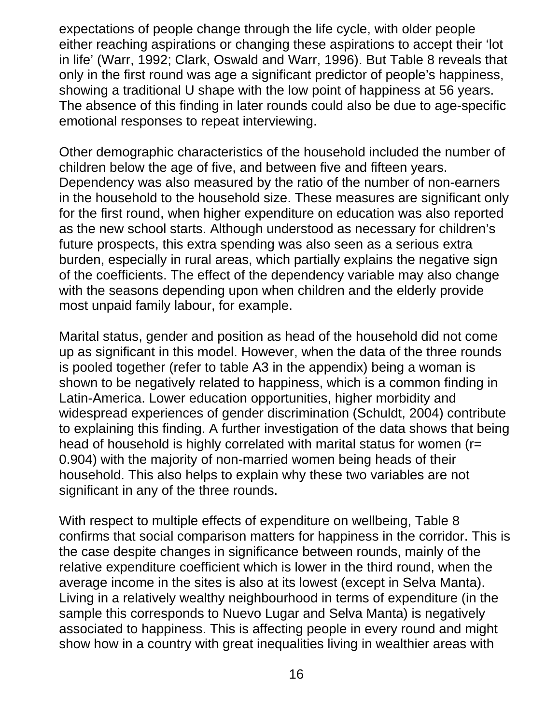expectations of people change through the life cycle, with older people either reaching aspirations or changing these aspirations to accept their 'lot in life' (Warr, 1992; Clark, Oswald and Warr, 1996). But Table 8 reveals that only in the first round was age a significant predictor of people's happiness, showing a traditional U shape with the low point of happiness at 56 years. The absence of this finding in later rounds could also be due to age-specific emotional responses to repeat interviewing.

Other demographic characteristics of the household included the number of children below the age of five, and between five and fifteen years. Dependency was also measured by the ratio of the number of non-earners in the household to the household size. These measures are significant only for the first round, when higher expenditure on education was also reported as the new school starts. Although understood as necessary for children's future prospects, this extra spending was also seen as a serious extra burden, especially in rural areas, which partially explains the negative sign of the coefficients. The effect of the dependency variable may also change with the seasons depending upon when children and the elderly provide most unpaid family labour, for example.

Marital status, gender and position as head of the household did not come up as significant in this model. However, when the data of the three rounds is pooled together (refer to table A3 in the appendix) being a woman is shown to be negatively related to happiness, which is a common finding in Latin-America. Lower education opportunities, higher morbidity and widespread experiences of gender discrimination (Schuldt, 2004) contribute to explaining this finding. A further investigation of the data shows that being head of household is highly correlated with marital status for women (r= 0.904) with the majority of non-married women being heads of their household. This also helps to explain why these two variables are not significant in any of the three rounds.

With respect to multiple effects of expenditure on wellbeing, Table 8 confirms that social comparison matters for happiness in the corridor. This is the case despite changes in significance between rounds, mainly of the relative expenditure coefficient which is lower in the third round, when the average income in the sites is also at its lowest (except in Selva Manta). Living in a relatively wealthy neighbourhood in terms of expenditure (in the sample this corresponds to Nuevo Lugar and Selva Manta) is negatively associated to happiness. This is affecting people in every round and might show how in a country with great inequalities living in wealthier areas with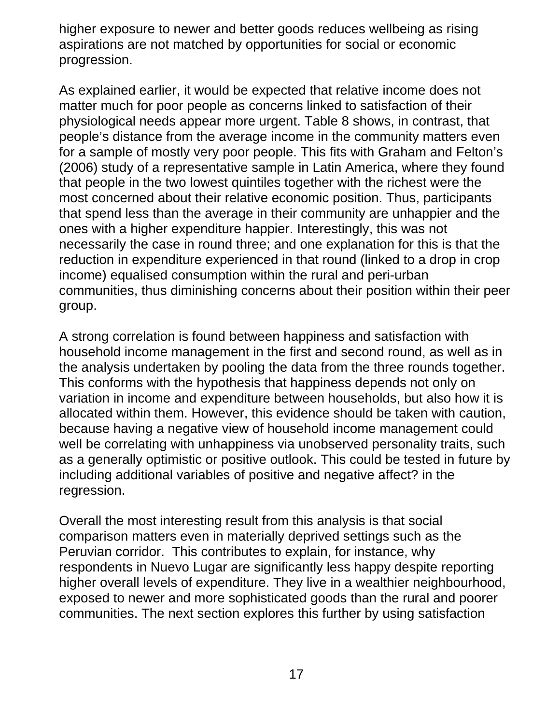higher exposure to newer and better goods reduces wellbeing as rising aspirations are not matched by opportunities for social or economic progression.

As explained earlier, it would be expected that relative income does not matter much for poor people as concerns linked to satisfaction of their physiological needs appear more urgent. Table 8 shows, in contrast, that people's distance from the average income in the community matters even for a sample of mostly very poor people. This fits with Graham and Felton's (2006) study of a representative sample in Latin America, where they found that people in the two lowest quintiles together with the richest were the most concerned about their relative economic position. Thus, participants that spend less than the average in their community are unhappier and the ones with a higher expenditure happier. Interestingly, this was not necessarily the case in round three; and one explanation for this is that the reduction in expenditure experienced in that round (linked to a drop in crop income) equalised consumption within the rural and peri-urban communities, thus diminishing concerns about their position within their peer group.

A strong correlation is found between happiness and satisfaction with household income management in the first and second round, as well as in the analysis undertaken by pooling the data from the three rounds together. This conforms with the hypothesis that happiness depends not only on variation in income and expenditure between households, but also how it is allocated within them. However, this evidence should be taken with caution, because having a negative view of household income management could well be correlating with unhappiness via unobserved personality traits, such as a generally optimistic or positive outlook. This could be tested in future by including additional variables of positive and negative affect? in the regression.

Overall the most interesting result from this analysis is that social comparison matters even in materially deprived settings such as the Peruvian corridor. This contributes to explain, for instance, why respondents in Nuevo Lugar are significantly less happy despite reporting higher overall levels of expenditure. They live in a wealthier neighbourhood, exposed to newer and more sophisticated goods than the rural and poorer communities. The next section explores this further by using satisfaction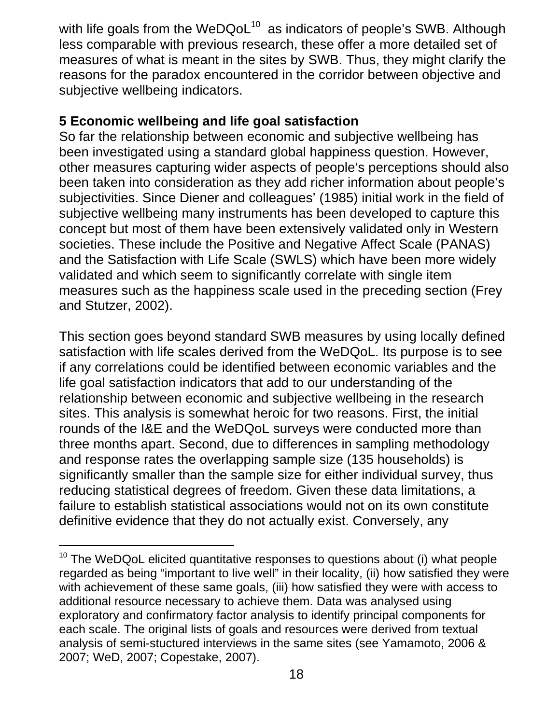with life goals from the WeDQoL<sup>10</sup> as indicators of people's SWB. Although less comparable with previous research, these offer a more detailed set of measures of what is meant in the sites by SWB. Thus, they might clarify the reasons for the paradox encountered in the corridor between objective and subjective wellbeing indicators.

#### **5 Economic wellbeing and life goal satisfaction**

l

So far the relationship between economic and subjective wellbeing has been investigated using a standard global happiness question. However, other measures capturing wider aspects of people's perceptions should also been taken into consideration as they add richer information about people's subjectivities. Since Diener and colleagues' (1985) initial work in the field of subjective wellbeing many instruments has been developed to capture this concept but most of them have been extensively validated only in Western societies. These include the Positive and Negative Affect Scale (PANAS) and the Satisfaction with Life Scale (SWLS) which have been more widely validated and which seem to significantly correlate with single item measures such as the happiness scale used in the preceding section (Frey and Stutzer, 2002).

This section goes beyond standard SWB measures by using locally defined satisfaction with life scales derived from the WeDQoL. Its purpose is to see if any correlations could be identified between economic variables and the life goal satisfaction indicators that add to our understanding of the relationship between economic and subjective wellbeing in the research sites. This analysis is somewhat heroic for two reasons. First, the initial rounds of the I&E and the WeDQoL surveys were conducted more than three months apart. Second, due to differences in sampling methodology and response rates the overlapping sample size (135 households) is significantly smaller than the sample size for either individual survey, thus reducing statistical degrees of freedom. Given these data limitations, a failure to establish statistical associations would not on its own constitute definitive evidence that they do not actually exist. Conversely, any

 $10$  The WeDQoL elicited quantitative responses to questions about (i) what people regarded as being "important to live well" in their locality, (ii) how satisfied they were with achievement of these same goals, (iii) how satisfied they were with access to additional resource necessary to achieve them. Data was analysed using exploratory and confirmatory factor analysis to identify principal components for each scale. The original lists of goals and resources were derived from textual analysis of semi-stuctured interviews in the same sites (see Yamamoto, 2006 & 2007; WeD, 2007; Copestake, 2007).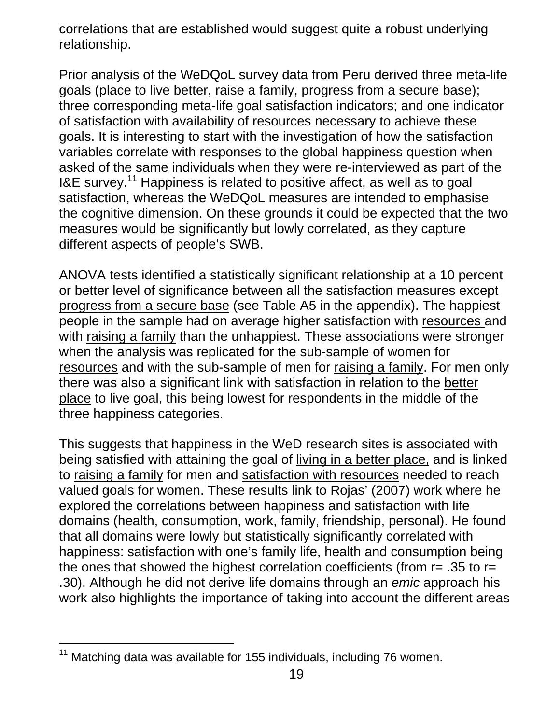correlations that are established would suggest quite a robust underlying relationship.

Prior analysis of the WeDQoL survey data from Peru derived three meta-life goals (place to live better, raise a family, progress from a secure base); three corresponding meta-life goal satisfaction indicators; and one indicator of satisfaction with availability of resources necessary to achieve these goals. It is interesting to start with the investigation of how the satisfaction variables correlate with responses to the global happiness question when asked of the same individuals when they were re-interviewed as part of the I&E survey.11 Happiness is related to positive affect, as well as to goal satisfaction, whereas the WeDQoL measures are intended to emphasise the cognitive dimension. On these grounds it could be expected that the two measures would be significantly but lowly correlated, as they capture different aspects of people's SWB.

ANOVA tests identified a statistically significant relationship at a 10 percent or better level of significance between all the satisfaction measures except progress from a secure base (see Table A5 in the appendix). The happiest people in the sample had on average higher satisfaction with resources and with raising a family than the unhappiest. These associations were stronger when the analysis was replicated for the sub-sample of women for resources and with the sub-sample of men for raising a family. For men only there was also a significant link with satisfaction in relation to the better place to live goal, this being lowest for respondents in the middle of the three happiness categories.

This suggests that happiness in the WeD research sites is associated with being satisfied with attaining the goal of living in a better place, and is linked to raising a family for men and satisfaction with resources needed to reach valued goals for women. These results link to Rojas' (2007) work where he explored the correlations between happiness and satisfaction with life domains (health, consumption, work, family, friendship, personal). He found that all domains were lowly but statistically significantly correlated with happiness: satisfaction with one's family life, health and consumption being the ones that showed the highest correlation coefficients (from  $r = .35$  to  $r =$ .30). Although he did not derive life domains through an *emic* approach his work also highlights the importance of taking into account the different areas

l

 $11$  Matching data was available for 155 individuals, including 76 women.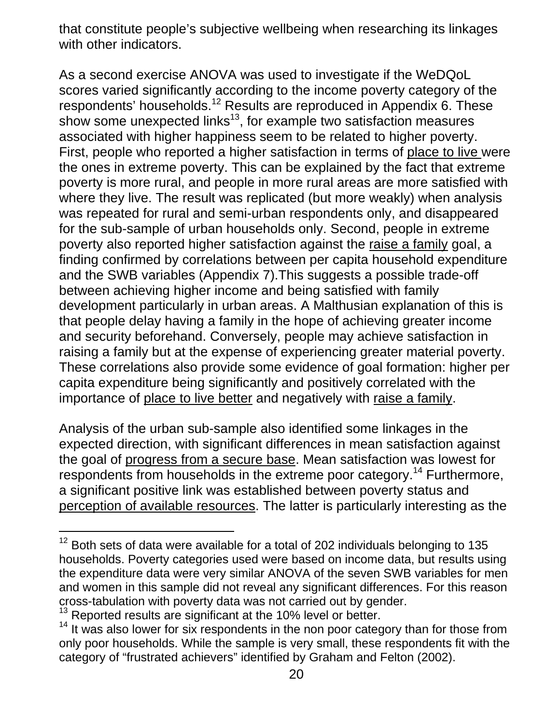that constitute people's subjective wellbeing when researching its linkages with other indicators.

As a second exercise ANOVA was used to investigate if the WeDQoL scores varied significantly according to the income poverty category of the respondents' households.12 Results are reproduced in Appendix 6. These show some unexpected links<sup>13</sup>, for example two satisfaction measures associated with higher happiness seem to be related to higher poverty. First, people who reported a higher satisfaction in terms of place to live were the ones in extreme poverty. This can be explained by the fact that extreme poverty is more rural, and people in more rural areas are more satisfied with where they live. The result was replicated (but more weakly) when analysis was repeated for rural and semi-urban respondents only, and disappeared for the sub-sample of urban households only. Second, people in extreme poverty also reported higher satisfaction against the raise a family goal, a finding confirmed by correlations between per capita household expenditure and the SWB variables (Appendix 7).This suggests a possible trade-off between achieving higher income and being satisfied with family development particularly in urban areas. A Malthusian explanation of this is that people delay having a family in the hope of achieving greater income and security beforehand. Conversely, people may achieve satisfaction in raising a family but at the expense of experiencing greater material poverty. These correlations also provide some evidence of goal formation: higher per capita expenditure being significantly and positively correlated with the importance of place to live better and negatively with raise a family.

Analysis of the urban sub-sample also identified some linkages in the expected direction, with significant differences in mean satisfaction against the goal of progress from a secure base. Mean satisfaction was lowest for respondents from households in the extreme poor category.<sup>14</sup> Furthermore, a significant positive link was established between poverty status and perception of available resources. The latter is particularly interesting as the

l

 $12$  Both sets of data were available for a total of 202 individuals belonging to 135 households. Poverty categories used were based on income data, but results using the expenditure data were very similar ANOVA of the seven SWB variables for men and women in this sample did not reveal any significant differences. For this reason cross-tabulation with poverty data was not carried out by gender.<br><sup>13</sup> Reported results are significant at the 10% level or better.<br><sup>14</sup> It was also lower for six respondents in the non poor category than for those from

only poor households. While the sample is very small, these respondents fit with the category of "frustrated achievers" identified by Graham and Felton (2002).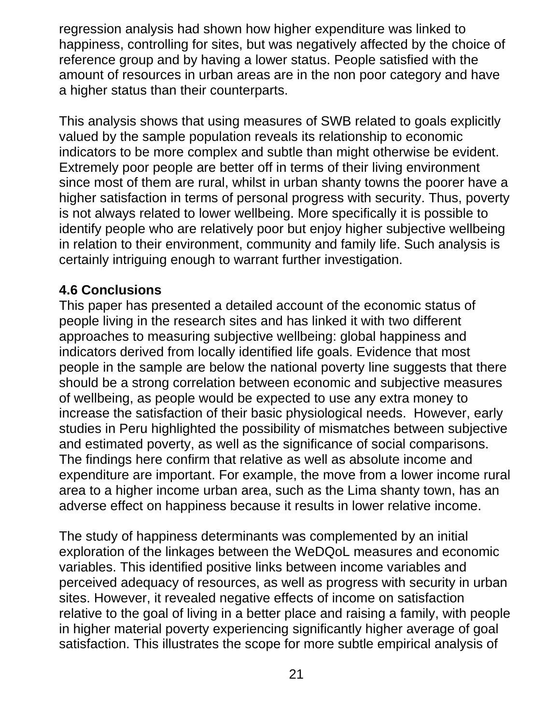regression analysis had shown how higher expenditure was linked to happiness, controlling for sites, but was negatively affected by the choice of reference group and by having a lower status. People satisfied with the amount of resources in urban areas are in the non poor category and have a higher status than their counterparts.

This analysis shows that using measures of SWB related to goals explicitly valued by the sample population reveals its relationship to economic indicators to be more complex and subtle than might otherwise be evident. Extremely poor people are better off in terms of their living environment since most of them are rural, whilst in urban shanty towns the poorer have a higher satisfaction in terms of personal progress with security. Thus, poverty is not always related to lower wellbeing. More specifically it is possible to identify people who are relatively poor but enjoy higher subjective wellbeing in relation to their environment, community and family life. Such analysis is certainly intriguing enough to warrant further investigation.

### **4.6 Conclusions**

This paper has presented a detailed account of the economic status of people living in the research sites and has linked it with two different approaches to measuring subjective wellbeing: global happiness and indicators derived from locally identified life goals. Evidence that most people in the sample are below the national poverty line suggests that there should be a strong correlation between economic and subjective measures of wellbeing, as people would be expected to use any extra money to increase the satisfaction of their basic physiological needs. However, early studies in Peru highlighted the possibility of mismatches between subjective and estimated poverty, as well as the significance of social comparisons. The findings here confirm that relative as well as absolute income and expenditure are important. For example, the move from a lower income rural area to a higher income urban area, such as the Lima shanty town, has an adverse effect on happiness because it results in lower relative income.

The study of happiness determinants was complemented by an initial exploration of the linkages between the WeDQoL measures and economic variables. This identified positive links between income variables and perceived adequacy of resources, as well as progress with security in urban sites. However, it revealed negative effects of income on satisfaction relative to the goal of living in a better place and raising a family, with people in higher material poverty experiencing significantly higher average of goal satisfaction. This illustrates the scope for more subtle empirical analysis of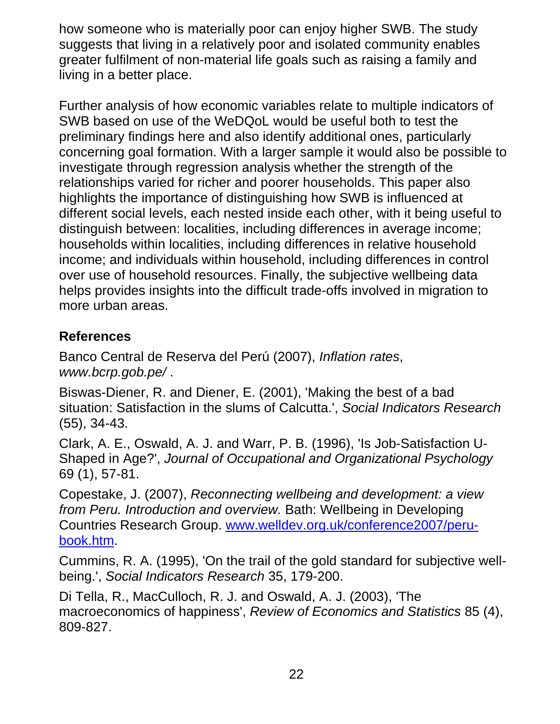how someone who is materially poor can enjoy higher SWB. The study suggests that living in a relatively poor and isolated community enables greater fulfilment of non-material life goals such as raising a family and living in a better place.

Further analysis of how economic variables relate to multiple indicators of SWB based on use of the WeDQoL would be useful both to test the preliminary findings here and also identify additional ones, particularly concerning goal formation. With a larger sample it would also be possible to investigate through regression analysis whether the strength of the relationships varied for richer and poorer households. This paper also highlights the importance of distinguishing how SWB is influenced at different social levels, each nested inside each other, with it being useful to distinguish between: localities, including differences in average income; households within localities, including differences in relative household income; and individuals within household, including differences in control over use of household resources. Finally, the subjective wellbeing data helps provides insights into the difficult trade-offs involved in migration to more urban areas.

## **References**

Banco Central de Reserva del Perú (2007), *Inflation rates*, *www.bcrp.gob.pe/* .

Biswas-Diener, R. and Diener, E. (2001), 'Making the best of a bad situation: Satisfaction in the slums of Calcutta.', *Social Indicators Research* (55), 34-43.

Clark, A. E., Oswald, A. J. and Warr, P. B. (1996), 'Is Job-Satisfaction U-Shaped in Age?', *Journal of Occupational and Organizational Psychology* 69 (1), 57-81.

Copestake, J. (2007), *Reconnecting wellbeing and development: a view from Peru. Introduction and overview.* Bath: Wellbeing in Developing Countries Research Group. www.welldev.org.uk/conference2007/perubook.htm.

Cummins, R. A. (1995), 'On the trail of the gold standard for subjective wellbeing.', *Social Indicators Research* 35, 179-200.

Di Tella, R., MacCulloch, R. J. and Oswald, A. J. (2003), 'The macroeconomics of happiness', *Review of Economics and Statistics* 85 (4), 809-827.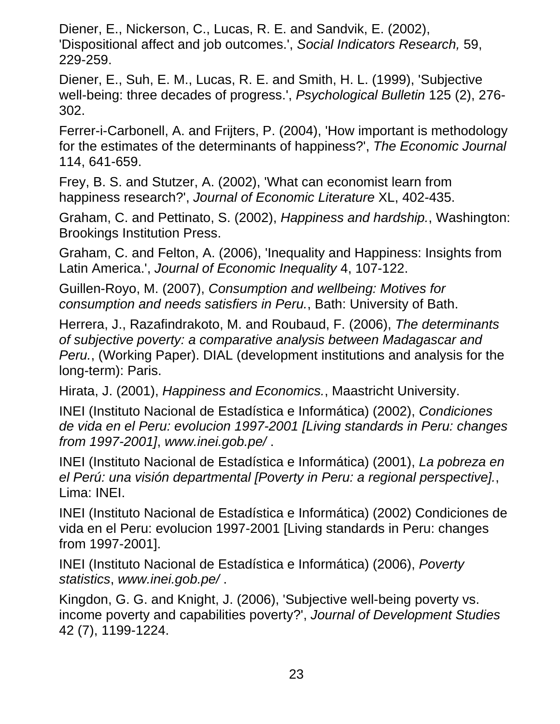Diener, E., Nickerson, C., Lucas, R. E. and Sandvik, E. (2002), 'Dispositional affect and job outcomes.', *Social Indicators Research,* 59, 229-259.

Diener, E., Suh, E. M., Lucas, R. E. and Smith, H. L. (1999), 'Subjective well-being: three decades of progress.', *Psychological Bulletin* 125 (2), 276- 302.

Ferrer-i-Carbonell, A. and Frijters, P. (2004), 'How important is methodology for the estimates of the determinants of happiness?', *The Economic Journal* 114, 641-659.

Frey, B. S. and Stutzer, A. (2002), 'What can economist learn from happiness research?', *Journal of Economic Literature* XL, 402-435.

Graham, C. and Pettinato, S. (2002), *Happiness and hardship.*, Washington: Brookings Institution Press.

Graham, C. and Felton, A. (2006), 'Inequality and Happiness: Insights from Latin America.', *Journal of Economic Inequality* 4, 107-122.

Guillen-Royo, M. (2007), *Consumption and wellbeing: Motives for consumption and needs satisfiers in Peru.*, Bath: University of Bath.

Herrera, J., Razafindrakoto, M. and Roubaud, F. (2006), *The determinants of subjective poverty: a comparative analysis between Madagascar and Peru.*, (Working Paper). DIAL (development institutions and analysis for the long-term): Paris.

Hirata, J. (2001), *Happiness and Economics.*, Maastricht University.

INEI (Instituto Nacional de Estadística e Informática) (2002), *Condiciones de vida en el Peru: evolucion 1997-2001 [Living standards in Peru: changes from 1997-2001]*, *www.inei.gob.pe/* .

INEI (Instituto Nacional de Estadística e Informática) (2001), *La pobreza en el Perú: una visión departmental [Poverty in Peru: a regional perspective].*, Lima: INEI.

INEI (Instituto Nacional de Estadística e Informática) (2002) Condiciones de vida en el Peru: evolucion 1997-2001 [Living standards in Peru: changes from 1997-2001].

INEI (Instituto Nacional de Estadística e Informática) (2006), *Poverty statistics*, *www.inei.gob.pe/* .

Kingdon, G. G. and Knight, J. (2006), 'Subjective well-being poverty vs. income poverty and capabilities poverty?', *Journal of Development Studies* 42 (7), 1199-1224.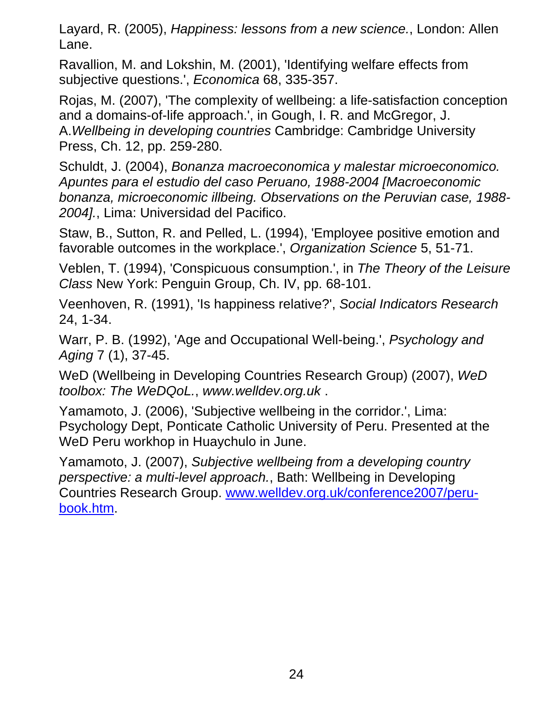Layard, R. (2005), *Happiness: lessons from a new science.*, London: Allen Lane.

Ravallion, M. and Lokshin, M. (2001), 'Identifying welfare effects from subjective questions.', *Economica* 68, 335-357.

Rojas, M. (2007), 'The complexity of wellbeing: a life-satisfaction conception and a domains-of-life approach.', in Gough, I. R. and McGregor, J. A.*Wellbeing in developing countries* Cambridge: Cambridge University Press, Ch. 12, pp. 259-280.

Schuldt, J. (2004), *Bonanza macroeconomica y malestar microeconomico. Apuntes para el estudio del caso Peruano, 1988-2004 [Macroeconomic bonanza, microeconomic illbeing. Observations on the Peruvian case, 1988- 2004].*, Lima: Universidad del Pacifico.

Staw, B., Sutton, R. and Pelled, L. (1994), 'Employee positive emotion and favorable outcomes in the workplace.', *Organization Science* 5, 51-71.

Veblen, T. (1994), 'Conspicuous consumption.', in *The Theory of the Leisure Class* New York: Penguin Group, Ch. IV, pp. 68-101.

Veenhoven, R. (1991), 'Is happiness relative?', *Social Indicators Research* 24, 1-34.

Warr, P. B. (1992), 'Age and Occupational Well-being.', *Psychology and Aging* 7 (1), 37-45.

WeD (Wellbeing in Developing Countries Research Group) (2007), *WeD toolbox: The WeDQoL.*, *www.welldev.org.uk* .

Yamamoto, J. (2006), 'Subjective wellbeing in the corridor.', Lima: Psychology Dept, Ponticate Catholic University of Peru. Presented at the WeD Peru workhop in Huaychulo in June.

Yamamoto, J. (2007), *Subjective wellbeing from a developing country perspective: a multi-level approach.*, Bath: Wellbeing in Developing Countries Research Group. www.welldev.org.uk/conference2007/perubook.htm.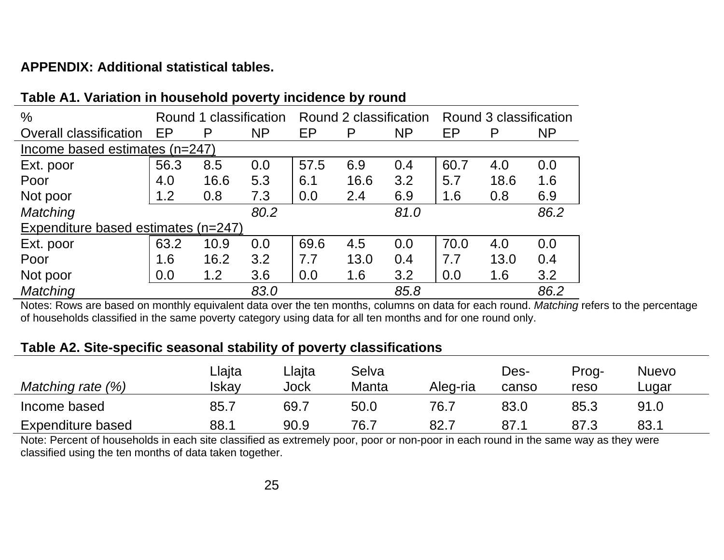### **APPENDIX: Additional statistical tables.**

| %                                   |      | Round 1 classification |           |      | Round 2 classification |           |      | Round 3 classification |           |
|-------------------------------------|------|------------------------|-----------|------|------------------------|-----------|------|------------------------|-----------|
| Overall classification              | EP   | P                      | <b>NP</b> | EP   | P                      | <b>NP</b> | EP   | P                      | <b>NP</b> |
| Income based estimates (n=247)      |      |                        |           |      |                        |           |      |                        |           |
| Ext. poor                           | 56.3 | 8.5                    | 0.0       | 57.5 | 6.9                    | 0.4       | 60.7 | 4.0                    | 0.0       |
| Poor                                | 4.0  | 16.6                   | 5.3       | 6.1  | 16.6                   | 3.2       | 5.7  | 18.6                   | 1.6       |
| Not poor                            | 1.2  | 0.8                    | 7.3       | 0.0  | 2.4                    | 6.9       | 1.6  | 0.8                    | 6.9       |
| Matching                            |      |                        | 80.2      |      |                        | 81.0      |      |                        | 86.2      |
| Expenditure based estimates (n=247) |      |                        |           |      |                        |           |      |                        |           |
| Ext. poor                           | 63.2 | 10.9                   | 0.0       | 69.6 | 4.5                    | 0.0       | 70.0 | 4.0                    | 0.0       |
| Poor                                | 1.6  | 16.2                   | 3.2       | 7.7  | 13.0                   | 0.4       | 7.7  | 13.0                   | 0.4       |
| Not poor                            | 0.0  | 1.2                    | 3.6       | 0.0  | 1.6                    | 3.2       | 0.0  | 1.6                    | 3.2       |
| <b>Matching</b>                     |      |                        | 83.0      |      |                        | 85.8      |      |                        | 86.2      |

#### **Table A1. Variation in household poverty incidence by round**

Notes: Rows are based on monthly equivalent data over the ten months, columns on data for each round. *Matching* refers to the percentage of households classified in the same poverty category using data for all ten months and for one round only.

#### **Table A2. Site-specific seasonal stability of poverty classifications**

| Matching rate (%) | ∟lajta<br>Iskav | ∟lajta<br>Jock | Selva<br>Manta | Aleg-ria | Des-<br>canso | Prog-<br>reso | <b>Nuevo</b><br>∟uqar |
|-------------------|-----------------|----------------|----------------|----------|---------------|---------------|-----------------------|
| Income based      | 85.7            | 69.7           | 50.0           | 76.7     | 83.0          | 85.3          | 91.0                  |
| Expenditure based | 88.1            | 90.9           | 76.7           | 82.7     | 87.1          | 87.3          | 83.1                  |

Note: Percent of households in each site classified as extremely poor, poor or non-poor in each round in the same way as they were classified using the ten months of data taken together.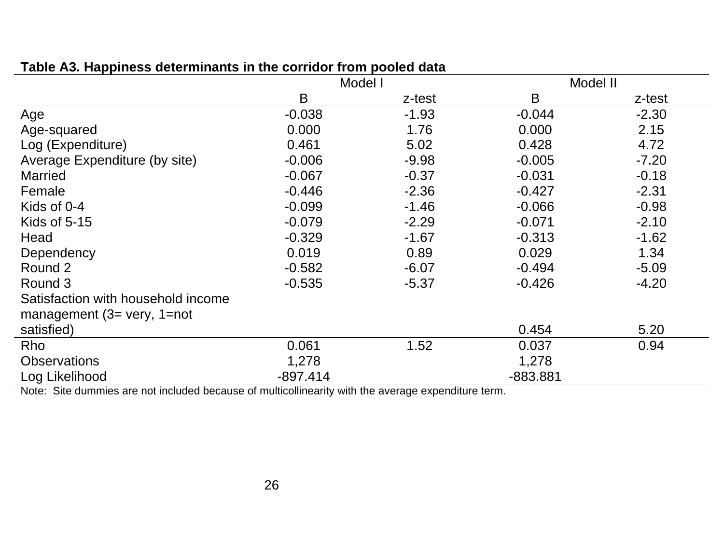|                                    | Model I    |         | Model II   |         |
|------------------------------------|------------|---------|------------|---------|
|                                    | B          | z-test  | B          | z-test  |
| Age                                | $-0.038$   | $-1.93$ | $-0.044$   | $-2.30$ |
| Age-squared                        | 0.000      | 1.76    | 0.000      | 2.15    |
| Log (Expenditure)                  | 0.461      | 5.02    | 0.428      | 4.72    |
| Average Expenditure (by site)      | $-0.006$   | $-9.98$ | $-0.005$   | $-7.20$ |
| <b>Married</b>                     | $-0.067$   | $-0.37$ | $-0.031$   | $-0.18$ |
| Female                             | $-0.446$   | $-2.36$ | $-0.427$   | $-2.31$ |
| Kids of 0-4                        | $-0.099$   | $-1.46$ | $-0.066$   | $-0.98$ |
| Kids of 5-15                       | $-0.079$   | $-2.29$ | $-0.071$   | $-2.10$ |
| Head                               | $-0.329$   | $-1.67$ | $-0.313$   | $-1.62$ |
| Dependency                         | 0.019      | 0.89    | 0.029      | 1.34    |
| Round 2                            | $-0.582$   | $-6.07$ | $-0.494$   | $-5.09$ |
| Round 3                            | $-0.535$   | $-5.37$ | $-0.426$   | $-4.20$ |
| Satisfaction with household income |            |         |            |         |
| management $(3=$ very, $1=$ not    |            |         |            |         |
| satisfied)                         |            |         | 0.454      | 5.20    |
| Rho                                | 0.061      | 1.52    | 0.037      | 0.94    |
| <b>Observations</b>                | 1,278      |         | 1,278      |         |
| Log Likelihood                     | $-897.414$ |         | $-883.881$ |         |

#### **Table A3. Happiness determinants in the corridor from pooled data**

Note: Site dummies are not included because of multicollinearity with the average expenditure term.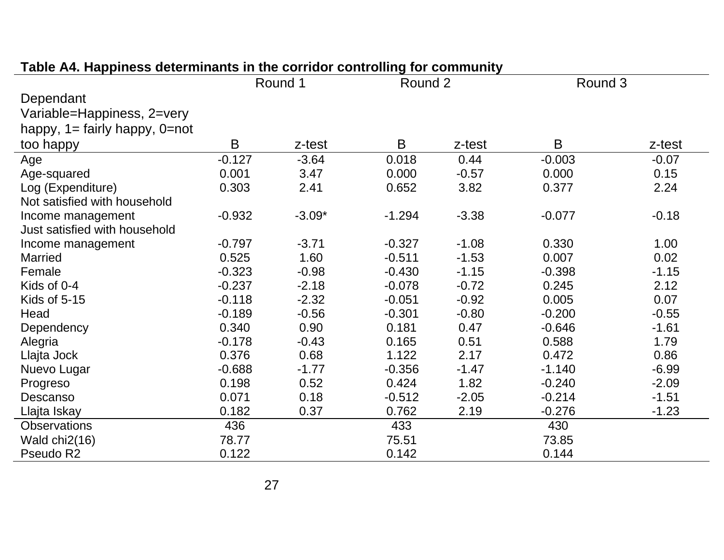|                                      | Round 1  |          | Round 2  |         | Round 3  |         |  |
|--------------------------------------|----------|----------|----------|---------|----------|---------|--|
| Dependant                            |          |          |          |         |          |         |  |
| Variable=Happiness, 2=very           |          |          |          |         |          |         |  |
| happy, $1 =$ fairly happy, $0 =$ not |          |          |          |         |          |         |  |
| too happy                            | B        | z-test   | B        | z-test  | B        | z-test  |  |
| Age                                  | $-0.127$ | $-3.64$  | 0.018    | 0.44    | $-0.003$ | $-0.07$ |  |
| Age-squared                          | 0.001    | 3.47     | 0.000    | $-0.57$ | 0.000    | 0.15    |  |
| Log (Expenditure)                    | 0.303    | 2.41     | 0.652    | 3.82    | 0.377    | 2.24    |  |
| Not satisfied with household         |          |          |          |         |          |         |  |
| Income management                    | $-0.932$ | $-3.09*$ | $-1.294$ | $-3.38$ | $-0.077$ | $-0.18$ |  |
| Just satisfied with household        |          |          |          |         |          |         |  |
| Income management                    | $-0.797$ | $-3.71$  | $-0.327$ | $-1.08$ | 0.330    | 1.00    |  |
| Married                              | 0.525    | 1.60     | $-0.511$ | $-1.53$ | 0.007    | 0.02    |  |
| Female                               | $-0.323$ | $-0.98$  | $-0.430$ | $-1.15$ | $-0.398$ | $-1.15$ |  |
| Kids of 0-4                          | $-0.237$ | $-2.18$  | $-0.078$ | $-0.72$ | 0.245    | 2.12    |  |
| Kids of 5-15                         | $-0.118$ | $-2.32$  | $-0.051$ | $-0.92$ | 0.005    | 0.07    |  |
| Head                                 | $-0.189$ | $-0.56$  | $-0.301$ | $-0.80$ | $-0.200$ | $-0.55$ |  |
| Dependency                           | 0.340    | 0.90     | 0.181    | 0.47    | $-0.646$ | $-1.61$ |  |
| Alegria                              | $-0.178$ | $-0.43$  | 0.165    | 0.51    | 0.588    | 1.79    |  |
| Llajta Jock                          | 0.376    | 0.68     | 1.122    | 2.17    | 0.472    | 0.86    |  |
| Nuevo Lugar                          | $-0.688$ | $-1.77$  | $-0.356$ | $-1.47$ | $-1.140$ | $-6.99$ |  |
| Progreso                             | 0.198    | 0.52     | 0.424    | 1.82    | $-0.240$ | $-2.09$ |  |
| Descanso                             | 0.071    | 0.18     | $-0.512$ | $-2.05$ | $-0.214$ | $-1.51$ |  |
| Llajta Iskay                         | 0.182    | 0.37     | 0.762    | 2.19    | $-0.276$ | $-1.23$ |  |
| <b>Observations</b>                  | 436      |          | 433      |         | 430      |         |  |
| Wald chi2(16)                        | 78.77    |          | 75.51    |         | 73.85    |         |  |
| Pseudo R2                            | 0.122    |          | 0.142    |         | 0.144    |         |  |

## **Table A4. Happiness determinants in the corridor controlling for community**

 $\sim$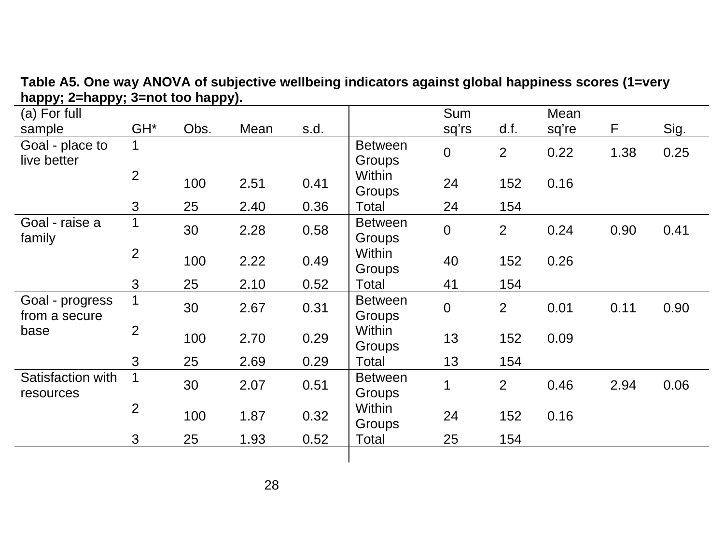| (a) For full      |                 |      |      |      |                | <b>Sum</b>       |                | Mean  |      |      |
|-------------------|-----------------|------|------|------|----------------|------------------|----------------|-------|------|------|
| sample            | GH <sup>*</sup> | Obs. | Mean | s.d. |                | sq'rs            | d.f.           | sq're | F.   | Sig. |
| Goal - place to   | $\mathbf{1}$    |      |      |      | <b>Between</b> | $\mathbf 0$      | $\overline{2}$ | 0.22  | 1.38 | 0.25 |
| live better       |                 |      |      |      | Groups         |                  |                |       |      |      |
|                   | $\overline{2}$  | 100  | 2.51 | 0.41 | Within         | 24               | 152            | 0.16  |      |      |
|                   |                 |      |      |      | Groups         |                  |                |       |      |      |
|                   | 3               | 25   | 2.40 | 0.36 | Total          | 24               | 154            |       |      |      |
| Goal - raise a    | 1               | 30   | 2.28 | 0.58 | <b>Between</b> | ${\bf 0}$        | $\overline{2}$ | 0.24  | 0.90 | 0.41 |
| family            |                 |      |      |      | Groups         |                  |                |       |      |      |
|                   | $\overline{2}$  | 100  | 2.22 | 0.49 | Within         | 40               | 152            | 0.26  |      |      |
|                   |                 |      |      |      | Groups         |                  |                |       |      |      |
|                   | $\mathfrak{S}$  | 25   | 2.10 | 0.52 | Total          | 41               | 154            |       |      |      |
| Goal - progress   | $\mathbf 1$     | 30   | 2.67 | 0.31 | <b>Between</b> | $\boldsymbol{0}$ | $\overline{2}$ | 0.01  | 0.11 | 0.90 |
| from a secure     |                 |      |      |      | Groups         |                  |                |       |      |      |
| base              | $\overline{2}$  | 100  | 2.70 | 0.29 | Within         | 13               | 152            | 0.09  |      |      |
|                   |                 |      |      |      | Groups         |                  |                |       |      |      |
|                   | 3               | 25   | 2.69 | 0.29 | Total          | 13               | 154            |       |      |      |
| Satisfaction with | $\mathbf 1$     | 30   | 2.07 | 0.51 | <b>Between</b> | $\mathbf 1$      | $\overline{2}$ | 0.46  | 2.94 | 0.06 |
| resources         |                 |      |      |      | Groups         |                  |                |       |      |      |
|                   | $\overline{2}$  | 100  | 1.87 | 0.32 | Within         | 24               | 152            | 0.16  |      |      |
|                   |                 |      |      |      | Groups         |                  |                |       |      |      |
|                   | $\overline{3}$  | 25   | 1.93 | 0.52 | Total          | 25               | 154            |       |      |      |
|                   |                 |      |      |      |                |                  |                |       |      |      |

**Table A5. One way ANOVA of subjective wellbeing indicators against global happiness scores (1=very happy; 2=happy; 3=not too happy).**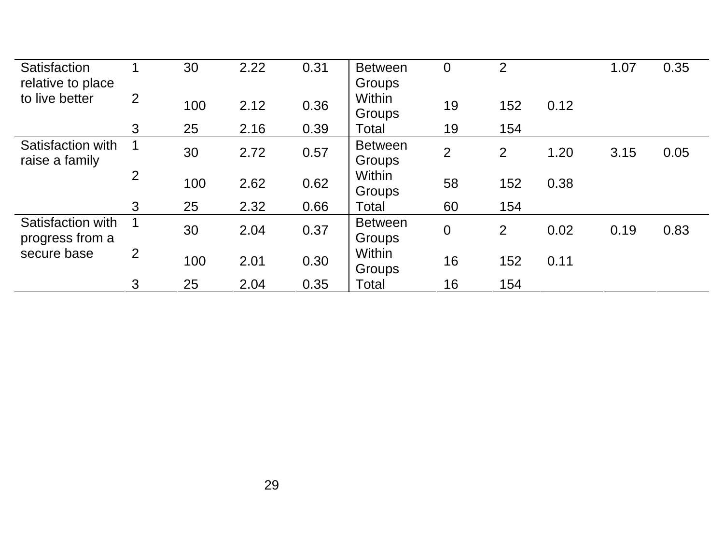| Satisfaction                        |                | 30  | 2.22 | 0.31 | <b>Between</b>   | $\overline{0}$ | $\overline{2}$ |      | 1.07 | 0.35 |
|-------------------------------------|----------------|-----|------|------|------------------|----------------|----------------|------|------|------|
| relative to place<br>to live better | 2              |     |      |      | Groups<br>Within |                |                |      |      |      |
|                                     |                | 100 | 2.12 | 0.36 | Groups           | 19             | 152            | 0.12 |      |      |
|                                     | 3              | 25  | 2.16 | 0.39 | Total            | 19             | 154            |      |      |      |
| Satisfaction with                   |                | 30  | 2.72 | 0.57 | <b>Between</b>   | 2              | 2              | 1.20 | 3.15 | 0.05 |
| raise a family                      |                |     |      |      | Groups           |                |                |      |      |      |
|                                     | $\overline{2}$ | 100 | 2.62 | 0.62 | Within           | 58             | 152            | 0.38 |      |      |
|                                     |                |     |      |      | Groups           |                |                |      |      |      |
|                                     | 3              | 25  | 2.32 | 0.66 | Total            | 60             | 154            |      |      |      |
| Satisfaction with                   |                | 30  | 2.04 | 0.37 | <b>Between</b>   | $\overline{0}$ | 2              | 0.02 | 0.19 | 0.83 |
| progress from a                     |                |     |      |      | Groups           |                |                |      |      |      |
| secure base                         | 2              | 100 | 2.01 | 0.30 | Within           | 16             | 152            | 0.11 |      |      |
|                                     |                |     |      |      | Groups           |                |                |      |      |      |
|                                     | 3              | 25  | 2.04 | 0.35 | Total            | 16             | 154            |      |      |      |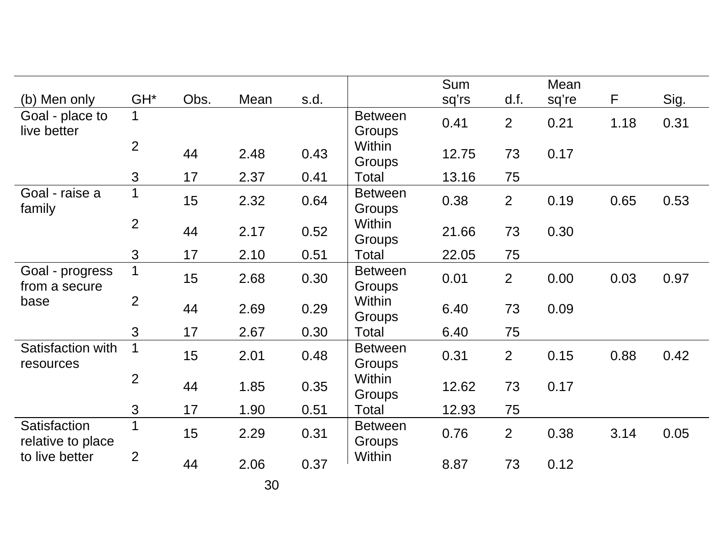|                                   |                 |      |      |      |                                 | Sum   |                | Mean  |      |      |
|-----------------------------------|-----------------|------|------|------|---------------------------------|-------|----------------|-------|------|------|
| (b) Men only                      | GH <sup>*</sup> | Obs. | Mean | s.d. |                                 | sq'rs | d.f.           | sq're | F    | Sig. |
| Goal - place to<br>live better    | $\mathbf 1$     |      |      |      | <b>Between</b><br><b>Groups</b> | 0.41  | $\overline{2}$ | 0.21  | 1.18 | 0.31 |
|                                   | $\overline{2}$  | 44   | 2.48 | 0.43 | Within<br>Groups                | 12.75 | 73             | 0.17  |      |      |
|                                   | 3               | 17   | 2.37 | 0.41 | Total                           | 13.16 | 75             |       |      |      |
| Goal - raise a<br>family          | $\mathbf 1$     | 15   | 2.32 | 0.64 | <b>Between</b><br>Groups        | 0.38  | $\overline{2}$ | 0.19  | 0.65 | 0.53 |
|                                   | $\overline{2}$  | 44   | 2.17 | 0.52 | Within<br>Groups                | 21.66 | 73             | 0.30  |      |      |
|                                   | 3               | 17   | 2.10 | 0.51 | Total                           | 22.05 | 75             |       |      |      |
| Goal - progress<br>from a secure  | 1               | 15   | 2.68 | 0.30 | <b>Between</b><br><b>Groups</b> | 0.01  | $\overline{2}$ | 0.00  | 0.03 | 0.97 |
| base                              | $\overline{2}$  | 44   | 2.69 | 0.29 | Within<br>Groups                | 6.40  | 73             | 0.09  |      |      |
|                                   | 3               | 17   | 2.67 | 0.30 | Total                           | 6.40  | 75             |       |      |      |
| Satisfaction with<br>resources    |                 | 15   | 2.01 | 0.48 | <b>Between</b><br>Groups        | 0.31  | $\overline{2}$ | 0.15  | 0.88 | 0.42 |
|                                   | $\overline{2}$  | 44   | 1.85 | 0.35 | Within<br><b>Groups</b>         | 12.62 | 73             | 0.17  |      |      |
|                                   | 3               | 17   | 1.90 | 0.51 | Total                           | 12.93 | 75             |       |      |      |
| Satisfaction<br>relative to place |                 | 15   | 2.29 | 0.31 | <b>Between</b><br>Groups        | 0.76  | 2              | 0.38  | 3.14 | 0.05 |
| to live better                    | $\overline{2}$  | 44   | 2.06 | 0.37 | Within                          | 8.87  | 73             | 0.12  |      |      |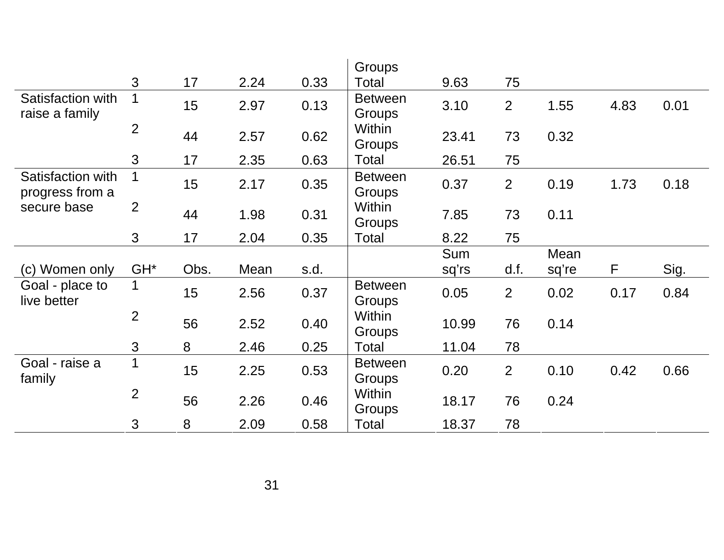|                                      |                     |         |      |      | Groups                   |            |                |       |      |      |
|--------------------------------------|---------------------|---------|------|------|--------------------------|------------|----------------|-------|------|------|
|                                      | $\mathbf{3}$        | 17      | 2.24 | 0.33 | Total                    | 9.63       | 75             |       |      |      |
| Satisfaction with<br>raise a family  |                     | 15      | 2.97 | 0.13 | <b>Between</b><br>Groups | 3.10       | $\overline{2}$ | 1.55  | 4.83 | 0.01 |
|                                      | $\overline{2}$      | 44      | 2.57 | 0.62 | Within<br>Groups         | 23.41      | 73             | 0.32  |      |      |
|                                      | 3                   | 17      | 2.35 | 0.63 | Total                    | 26.51      | 75             |       |      |      |
| Satisfaction with<br>progress from a |                     | 15      | 2.17 | 0.35 | <b>Between</b><br>Groups | 0.37       | $\overline{2}$ | 0.19  | 1.73 | 0.18 |
| secure base                          | $\overline{2}$      | 44      | 1.98 | 0.31 | Within<br>Groups         | 7.85       | 73             | 0.11  |      |      |
|                                      | $\mathfrak{S}$      | 17      | 2.04 | 0.35 | Total                    | 8.22       | 75             |       |      |      |
|                                      |                     |         |      |      |                          |            |                |       |      |      |
|                                      |                     |         |      |      |                          | <b>Sum</b> |                | Mean  |      |      |
| (c) Women only                       | GH <sup>*</sup>     | Obs.    | Mean | s.d. |                          | sq'rs      | d.f.           | sq're | F    | Sig. |
| Goal - place to<br>live better       |                     | 15      | 2.56 | 0.37 | <b>Between</b><br>Groups | 0.05       | $\overline{2}$ | 0.02  | 0.17 | 0.84 |
|                                      | $\overline{2}$      | 56      | 2.52 | 0.40 | Within<br>Groups         | 10.99      | 76             | 0.14  |      |      |
|                                      | 3                   | 8       | 2.46 | 0.25 | Total                    | 11.04      | 78             |       |      |      |
| Goal - raise a<br>family             |                     | 15      | 2.25 | 0.53 | <b>Between</b><br>Groups | 0.20       | $\overline{2}$ | 0.10  | 0.42 | 0.66 |
|                                      | 2<br>$\mathfrak{S}$ | 56<br>8 | 2.26 | 0.46 | Within<br>Groups         | 18.17      | 76             | 0.24  |      |      |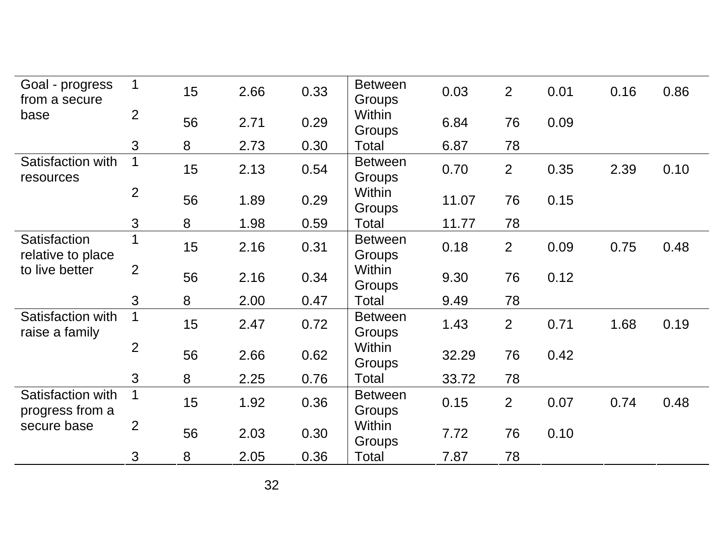| Goal - progress<br>from a secure     | 1              | 15 | 2.66 | 0.33 | <b>Between</b><br>Groups        | 0.03  | $\overline{2}$ | 0.01 | 0.16 | 0.86 |
|--------------------------------------|----------------|----|------|------|---------------------------------|-------|----------------|------|------|------|
| base                                 | $\overline{2}$ | 56 | 2.71 | 0.29 | Within<br>Groups                | 6.84  | 76             | 0.09 |      |      |
|                                      | 3              | 8  | 2.73 | 0.30 | Total                           | 6.87  | 78             |      |      |      |
| Satisfaction with<br>resources       | 1              | 15 | 2.13 | 0.54 | <b>Between</b><br>Groups        | 0.70  | $\overline{2}$ | 0.35 | 2.39 | 0.10 |
|                                      | $\overline{2}$ | 56 | 1.89 | 0.29 | Within<br><b>Groups</b>         | 11.07 | 76             | 0.15 |      |      |
|                                      | 3              | 8  | 1.98 | 0.59 | Total                           | 11.77 | 78             |      |      |      |
| Satisfaction<br>relative to place    | 1              | 15 | 2.16 | 0.31 | <b>Between</b><br><b>Groups</b> | 0.18  | $\overline{2}$ | 0.09 | 0.75 | 0.48 |
| to live better                       | 2              | 56 | 2.16 | 0.34 | Within<br>Groups                | 9.30  | 76             | 0.12 |      |      |
|                                      | 3              | 8  | 2.00 | 0.47 | Total                           | 9.49  | 78             |      |      |      |
| Satisfaction with<br>raise a family  | 1              | 15 | 2.47 | 0.72 | <b>Between</b><br>Groups        | 1.43  | $\overline{2}$ | 0.71 | 1.68 | 0.19 |
|                                      | $\overline{2}$ | 56 | 2.66 | 0.62 | Within<br>Groups                | 32.29 | 76             | 0.42 |      |      |
|                                      | 3              | 8  | 2.25 | 0.76 | Total                           | 33.72 | 78             |      |      |      |
| Satisfaction with<br>progress from a | 1              | 15 | 1.92 | 0.36 | <b>Between</b><br>Groups        | 0.15  | $\overline{2}$ | 0.07 | 0.74 | 0.48 |
| secure base                          | $\overline{2}$ | 56 | 2.03 | 0.30 | Within<br><b>Groups</b>         | 7.72  | 76             | 0.10 |      |      |
|                                      | 3              | 8  | 2.05 | 0.36 | Total                           | 7.87  | 78             |      |      |      |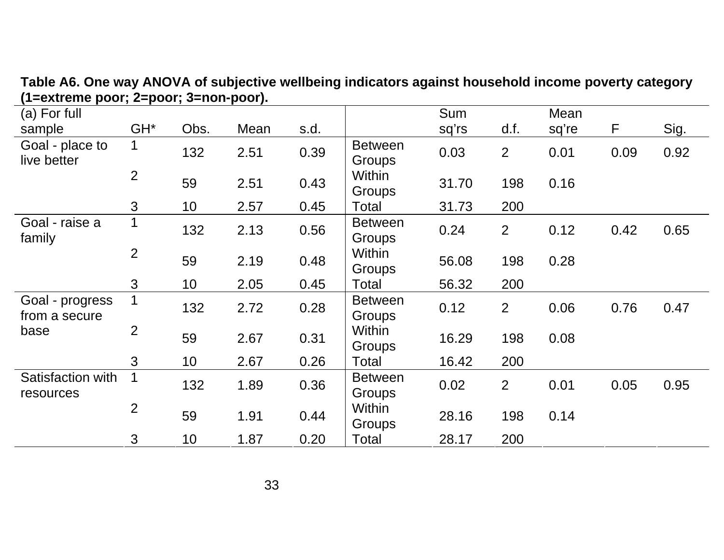| (a) For full                     |                 |      |      |      |                          | Sum   |                | Mean  |      |      |
|----------------------------------|-----------------|------|------|------|--------------------------|-------|----------------|-------|------|------|
| sample                           | GH <sup>*</sup> | Obs. | Mean | s.d. |                          | sq'rs | d.f.           | sq're | F    | Sig. |
| Goal - place to<br>live better   | $\mathbf 1$     | 132  | 2.51 | 0.39 | <b>Between</b><br>Groups | 0.03  | $\overline{2}$ | 0.01  | 0.09 | 0.92 |
|                                  | $\overline{2}$  | 59   | 2.51 | 0.43 | Within<br>Groups         | 31.70 | 198            | 0.16  |      |      |
|                                  | 3               | 10   | 2.57 | 0.45 | Total                    | 31.73 | 200            |       |      |      |
| Goal - raise a<br>family         | 1               | 132  | 2.13 | 0.56 | <b>Between</b><br>Groups | 0.24  | $\overline{2}$ | 0.12  | 0.42 | 0.65 |
|                                  | $\overline{2}$  | 59   | 2.19 | 0.48 | Within<br>Groups         | 56.08 | 198            | 0.28  |      |      |
|                                  | 3               | 10   | 2.05 | 0.45 | Total                    | 56.32 | 200            |       |      |      |
| Goal - progress<br>from a secure | $\mathbf 1$     | 132  | 2.72 | 0.28 | <b>Between</b><br>Groups | 0.12  | 2              | 0.06  | 0.76 | 0.47 |
| base                             | $\overline{2}$  | 59   | 2.67 | 0.31 | Within<br>Groups         | 16.29 | 198            | 0.08  |      |      |
|                                  | 3               | 10   | 2.67 | 0.26 | Total                    | 16.42 | 200            |       |      |      |
| Satisfaction with<br>resources   | $\mathbf 1$     | 132  | 1.89 | 0.36 | <b>Between</b><br>Groups | 0.02  | $\overline{2}$ | 0.01  | 0.05 | 0.95 |
|                                  | $\overline{2}$  | 59   | 1.91 | 0.44 | Within<br>Groups         | 28.16 | 198            | 0.14  |      |      |
|                                  | 3               | 10   | 1.87 | 0.20 | Total                    | 28.17 | 200            |       |      |      |

**Table A6. One way ANOVA of subjective wellbeing indicators against household income poverty category (1=extreme poor; 2=poor; 3=non-poor).**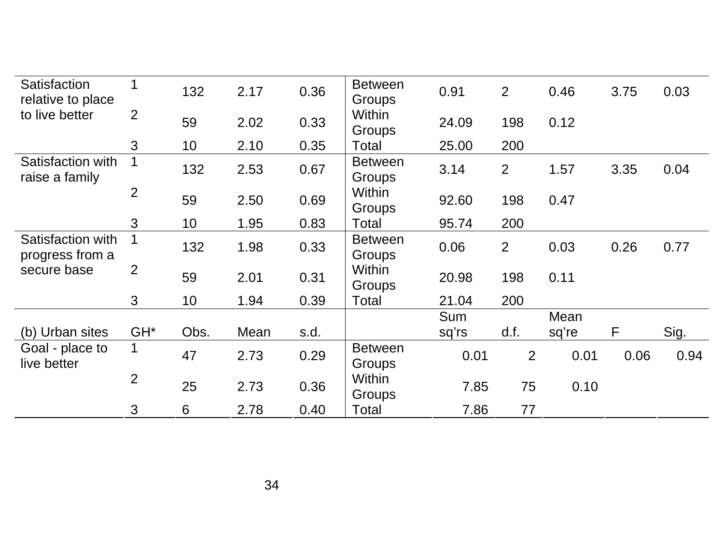|                                      | 3               | 6    | 2.78 | 0.40 | Total                           | 7.86                | 77             |               |      |      |
|--------------------------------------|-----------------|------|------|------|---------------------------------|---------------------|----------------|---------------|------|------|
|                                      | $\overline{2}$  | 25   | 2.73 | 0.36 | Within<br>Groups                | 7.85                | 75             | 0.10          |      |      |
| Goal - place to<br>live better       | $\mathbf 1$     | 47   | 2.73 | 0.29 | <b>Between</b><br>Groups        | 0.01                | 2              | 0.01          | 0.06 | 0.94 |
| (b) Urban sites                      | GH <sup>*</sup> | Obs. | Mean | s.d. |                                 | <b>Sum</b><br>sq'rs | d.f.           | Mean<br>sq're | F    | Sig. |
|                                      | $\mathfrak{S}$  | 10   | 1.94 | 0.39 | Total                           | 21.04               | 200            |               |      |      |
| secure base                          | 2               | 59   | 2.01 | 0.31 | Within<br>Groups                | 20.98               | 198            | 0.11          |      |      |
| Satisfaction with<br>progress from a | 1               | 132  | 1.98 | 0.33 | <b>Between</b><br><b>Groups</b> | 0.06                | 2              | 0.03          | 0.26 | 0.77 |
|                                      | 3               | 10   | 1.95 | 0.83 | Total                           | 95.74               | 200            |               |      |      |
|                                      | $\overline{2}$  | 59   | 2.50 | 0.69 | Within<br>Groups                | 92.60               | 198            | 0.47          |      |      |
| Satisfaction with<br>raise a family  |                 | 132  | 2.53 | 0.67 | <b>Between</b><br>Groups        | 3.14                | 2              | 1.57          | 3.35 | 0.04 |
|                                      | 3               | 10   | 2.10 | 0.35 | Total                           | 25.00               | 200            |               |      |      |
| to live better                       | 2               | 59   | 2.02 | 0.33 | Within<br>Groups                | 24.09               | 198            | 0.12          |      |      |
| Satisfaction<br>relative to place    | 1               | 132  | 2.17 | 0.36 | <b>Between</b><br>Groups        | 0.91                | $\overline{2}$ | 0.46          | 3.75 | 0.03 |
|                                      |                 |      |      |      |                                 |                     |                |               |      |      |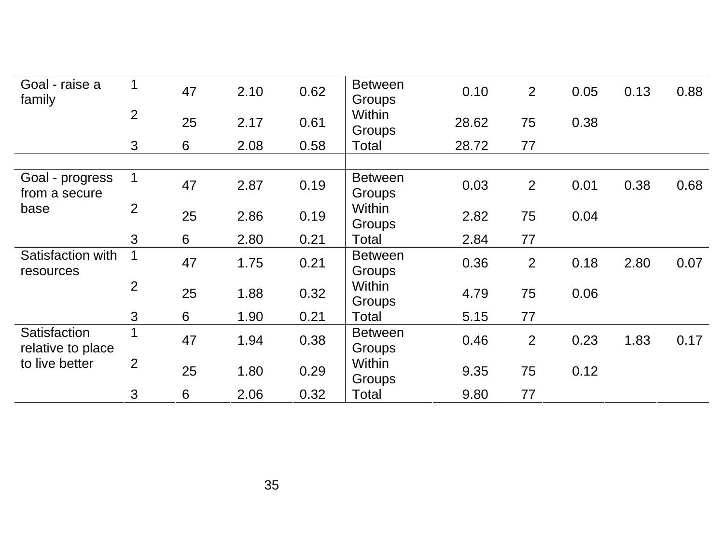| Goal - raise a<br>family          | $\mathbf 1$    | 47 | 2.10 | 0.62 | <b>Between</b><br>Groups | 0.10  | 2              | 0.05 | 0.13 | 0.88 |
|-----------------------------------|----------------|----|------|------|--------------------------|-------|----------------|------|------|------|
|                                   | $\overline{2}$ | 25 | 2.17 | 0.61 | Within<br>Groups         | 28.62 | 75             | 0.38 |      |      |
|                                   | 3              | 6  | 2.08 | 0.58 | Total                    | 28.72 | 77             |      |      |      |
|                                   |                |    |      |      |                          |       |                |      |      |      |
| Goal - progress<br>from a secure  | $\mathbf{1}$   | 47 | 2.87 | 0.19 | <b>Between</b><br>Groups | 0.03  | $\overline{2}$ | 0.01 | 0.38 | 0.68 |
| base                              | 2              | 25 | 2.86 | 0.19 | Within<br>Groups         | 2.82  | 75             | 0.04 |      |      |
|                                   | 3              | 6  | 2.80 | 0.21 | Total                    | 2.84  | 77             |      |      |      |
| Satisfaction with<br>resources    |                | 47 | 1.75 | 0.21 | <b>Between</b><br>Groups | 0.36  | $\overline{2}$ | 0.18 | 2.80 | 0.07 |
|                                   | $\overline{2}$ | 25 | 1.88 | 0.32 | <b>Within</b><br>Groups  | 4.79  | 75             | 0.06 |      |      |
|                                   | 3              | 6  | 1.90 | 0.21 | Total                    | 5.15  | 77             |      |      |      |
| Satisfaction<br>relative to place |                | 47 | 1.94 | 0.38 | <b>Between</b><br>Groups | 0.46  | $\overline{2}$ | 0.23 | 1.83 | 0.17 |
| to live better                    | $\overline{2}$ | 25 | 1.80 | 0.29 | Within<br>Groups         | 9.35  | 75             | 0.12 |      |      |
|                                   | 3              | 6  | 2.06 | 0.32 | Total                    | 9.80  | 77             |      |      |      |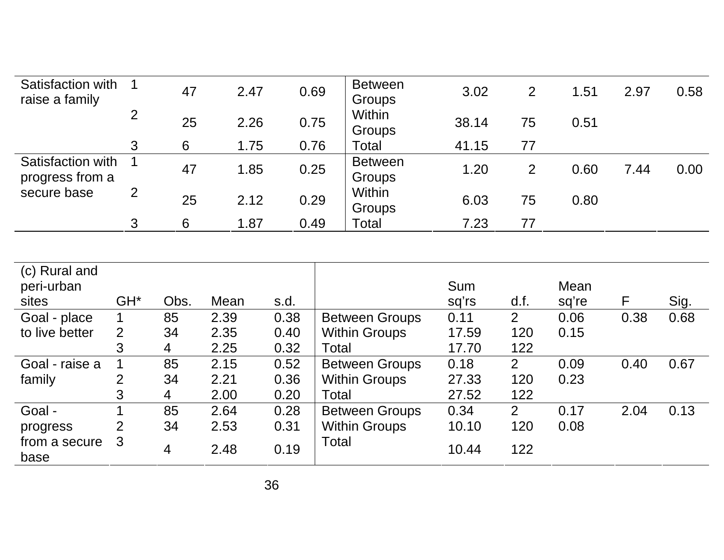| Satisfaction with<br>raise a family  |   | 47 | 2.47 | 0.69 | <b>Between</b><br>Groups | 3.02  | 2  | 1.51 | 2.97 | 0.58 |
|--------------------------------------|---|----|------|------|--------------------------|-------|----|------|------|------|
|                                      | 2 | 25 | 2.26 | 0.75 | Within<br>Groups         | 38.14 | 75 | 0.51 |      |      |
|                                      | 3 | 6  | 1.75 | 0.76 | Total                    | 41.15 | 77 |      |      |      |
| Satisfaction with<br>progress from a |   | 47 | 1.85 | 0.25 | <b>Between</b><br>Groups | 1.20  | 2  | 0.60 | 7.44 | 0.00 |
| secure base                          | 2 | 25 | 2.12 | 0.29 | Within<br>Groups         | 6.03  | 75 | 0.80 |      |      |
|                                      | 3 | 6  | 1.87 | 0.49 | Total                    | 7.23  | 77 |      |      |      |

| (c) Rural and         |                 |      |      |      |                       |       |                |       |      |      |
|-----------------------|-----------------|------|------|------|-----------------------|-------|----------------|-------|------|------|
| peri-urban            |                 |      |      |      |                       | Sum   |                | Mean  |      |      |
| sites                 | GH <sup>*</sup> | Obs. | Mean | s.d. |                       | sq'rs | d.f.           | sq're | F    | Sig. |
| Goal - place          |                 | 85   | 2.39 | 0.38 | <b>Between Groups</b> | 0.11  | 2              | 0.06  | 0.38 | 0.68 |
| to live better        | 2               | 34   | 2.35 | 0.40 | <b>Within Groups</b>  | 17.59 | 120            | 0.15  |      |      |
|                       | 3               | 4    | 2.25 | 0.32 | Total                 | 17.70 | 122            |       |      |      |
| Goal - raise a        |                 | 85   | 2.15 | 0.52 | <b>Between Groups</b> | 0.18  | 2              | 0.09  | 0.40 | 0.67 |
| family                | $\overline{2}$  | 34   | 2.21 | 0.36 | <b>Within Groups</b>  | 27.33 | 120            | 0.23  |      |      |
|                       | 3               | 4    | 2.00 | 0.20 | Total                 | 27.52 | 122            |       |      |      |
| Goal -                |                 | 85   | 2.64 | 0.28 | <b>Between Groups</b> | 0.34  | $\overline{2}$ | 0.17  | 2.04 | 0.13 |
| progress              | $\overline{2}$  | 34   | 2.53 | 0.31 | <b>Within Groups</b>  | 10.10 | 120            | 0.08  |      |      |
| from a secure<br>base | 3               | 4    | 2.48 | 0.19 | Total                 | 10.44 | 122            |       |      |      |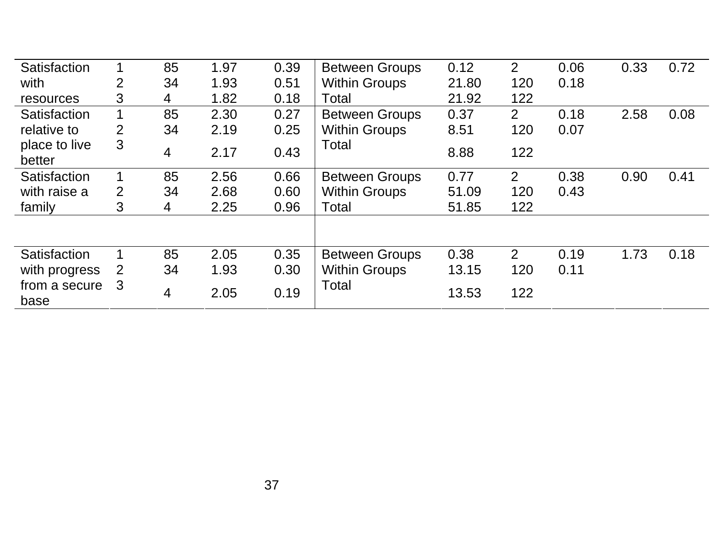| Satisfaction            |                | 85             | 1.97 | 0.39 | <b>Between Groups</b> | 0.12  | 2              | 0.06 | 0.33 | 0.72 |
|-------------------------|----------------|----------------|------|------|-----------------------|-------|----------------|------|------|------|
| with                    | 2              | 34             | 1.93 | 0.51 | <b>Within Groups</b>  | 21.80 | 120            | 0.18 |      |      |
| resources               | 3              | 4              | 1.82 | 0.18 | Total                 | 21.92 | 122            |      |      |      |
| Satisfaction            | $\mathbf 1$    | 85             | 2.30 | 0.27 | <b>Between Groups</b> | 0.37  | $\overline{2}$ | 0.18 | 2.58 | 0.08 |
| relative to             | $\overline{2}$ | 34             | 2.19 | 0.25 | <b>Within Groups</b>  | 8.51  | 120            | 0.07 |      |      |
| place to live<br>better | 3              | $\overline{4}$ | 2.17 | 0.43 | Total                 | 8.88  | 122            |      |      |      |
| Satisfaction            |                | 85             | 2.56 | 0.66 | <b>Between Groups</b> | 0.77  | $\overline{2}$ | 0.38 | 0.90 | 0.41 |
| with raise a            | 2              | 34             | 2.68 | 0.60 | <b>Within Groups</b>  | 51.09 | 120            | 0.43 |      |      |
| family                  | 3              | 4              | 2.25 | 0.96 | Total                 | 51.85 | 122            |      |      |      |
|                         |                |                |      |      |                       |       |                |      |      |      |
| Satisfaction            |                | 85             | 2.05 | 0.35 | <b>Between Groups</b> | 0.38  | $\overline{2}$ | 0.19 | 1.73 | 0.18 |
| with progress           | 2              | 34             | 1.93 | 0.30 | <b>Within Groups</b>  | 13.15 | 120            | 0.11 |      |      |
| from a secure<br>base   | 3              | $\overline{4}$ | 2.05 | 0.19 | Total                 | 13.53 | 122            |      |      |      |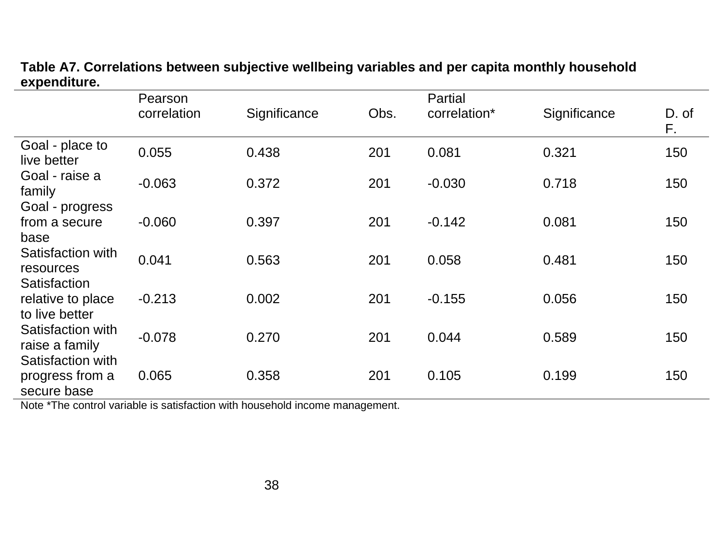|                                                     | Pearson     |              |      | Partial      |              |             |
|-----------------------------------------------------|-------------|--------------|------|--------------|--------------|-------------|
|                                                     | correlation | Significance | Obs. | correlation* | Significance | D. of<br>F. |
| Goal - place to<br>live better                      | 0.055       | 0.438        | 201  | 0.081        | 0.321        | 150         |
| Goal - raise a<br>family                            | $-0.063$    | 0.372        | 201  | $-0.030$     | 0.718        | 150         |
| Goal - progress<br>from a secure<br>base            | $-0.060$    | 0.397        | 201  | $-0.142$     | 0.081        | 150         |
| Satisfaction with<br>resources                      | 0.041       | 0.563        | 201  | 0.058        | 0.481        | 150         |
| Satisfaction<br>relative to place<br>to live better | $-0.213$    | 0.002        | 201  | $-0.155$     | 0.056        | 150         |
| Satisfaction with<br>raise a family                 | $-0.078$    | 0.270        | 201  | 0.044        | 0.589        | 150         |
| Satisfaction with<br>progress from a<br>secure base | 0.065       | 0.358        | 201  | 0.105        | 0.199        | 150         |

## **Table A7. Correlations between subjective wellbeing variables and per capita monthly household expenditure.**

Note \*The control variable is satisfaction with household income management.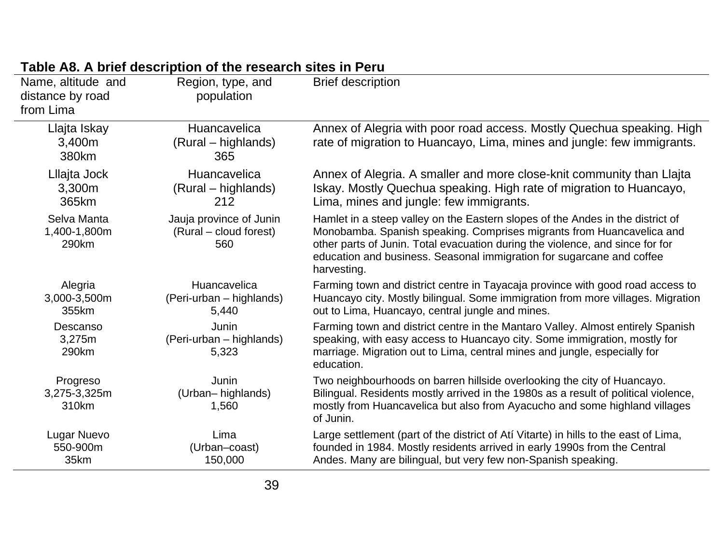| Name, altitude and<br>distance by road<br>from Lima | Region, type, and<br>population                          | <b>Brief description</b>                                                                                                                                                                                                                                                                                                         |
|-----------------------------------------------------|----------------------------------------------------------|----------------------------------------------------------------------------------------------------------------------------------------------------------------------------------------------------------------------------------------------------------------------------------------------------------------------------------|
| Llajta Iskay<br>3,400m<br>380km                     | Huancavelica<br>(Rural – highlands)<br>365               | Annex of Alegria with poor road access. Mostly Quechua speaking. High<br>rate of migration to Huancayo, Lima, mines and jungle: few immigrants.                                                                                                                                                                                  |
| Lllajta Jock<br>3,300m<br>365km                     | Huancavelica<br>(Rural – highlands)<br>212               | Annex of Alegria. A smaller and more close-knit community than Llajta<br>Iskay. Mostly Quechua speaking. High rate of migration to Huancayo,<br>Lima, mines and jungle: few immigrants.                                                                                                                                          |
| Selva Manta<br>1,400-1,800m<br>290km                | Jauja province of Junin<br>(Rural – cloud forest)<br>560 | Hamlet in a steep valley on the Eastern slopes of the Andes in the district of<br>Monobamba. Spanish speaking. Comprises migrants from Huancavelica and<br>other parts of Junin. Total evacuation during the violence, and since for for<br>education and business. Seasonal immigration for sugarcane and coffee<br>harvesting. |
| Alegria<br>3,000-3,500m<br>355km                    | Huancavelica<br>(Peri-urban - highlands)<br>5,440        | Farming town and district centre in Tayacaja province with good road access to<br>Huancayo city. Mostly bilingual. Some immigration from more villages. Migration<br>out to Lima, Huancayo, central jungle and mines.                                                                                                            |
| Descanso<br>3,275m<br>290km                         | Junin<br>(Peri-urban – highlands)<br>5,323               | Farming town and district centre in the Mantaro Valley. Almost entirely Spanish<br>speaking, with easy access to Huancayo city. Some immigration, mostly for<br>marriage. Migration out to Lima, central mines and jungle, especially for<br>education.                                                                          |
| Progreso<br>3,275-3,325m<br>310km                   | Junin<br>(Urban-highlands)<br>1,560                      | Two neighbourhoods on barren hillside overlooking the city of Huancayo.<br>Bilingual. Residents mostly arrived in the 1980s as a result of political violence,<br>mostly from Huancavelica but also from Ayacucho and some highland villages<br>of Junin.                                                                        |
| Lugar Nuevo<br>550-900m<br>35km                     | Lima<br>(Urban-coast)<br>150,000                         | Large settlement (part of the district of Atí Vitarte) in hills to the east of Lima,<br>founded in 1984. Mostly residents arrived in early 1990s from the Central<br>Andes. Many are bilingual, but very few non-Spanish speaking.                                                                                               |

# **Table A8. A brief description of the research sites in Peru**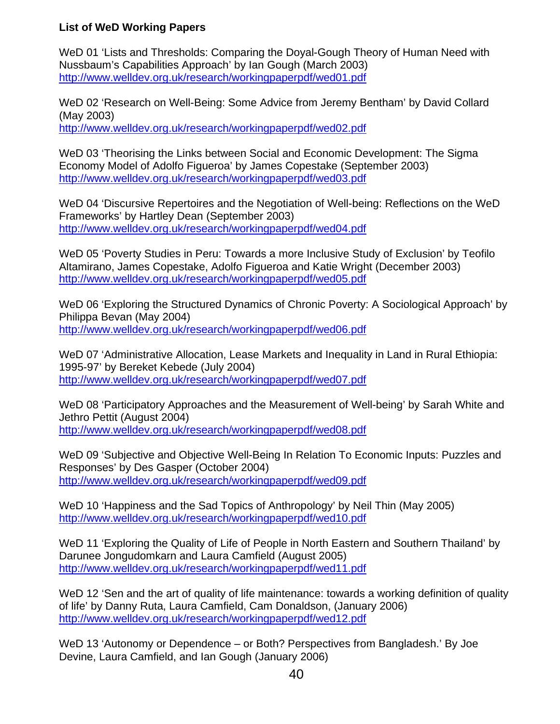#### **List of WeD Working Papers**

WeD 01 'Lists and Thresholds: Comparing the Doyal-Gough Theory of Human Need with Nussbaum's Capabilities Approach' by Ian Gough (March 2003) http://www.welldev.org.uk/research/workingpaperpdf/wed01.pdf

WeD 02 'Research on Well-Being: Some Advice from Jeremy Bentham' by David Collard (May 2003) http://www.welldev.org.uk/research/workingpaperpdf/wed02.pdf

WeD 03 'Theorising the Links between Social and Economic Development: The Sigma Economy Model of Adolfo Figueroa' by James Copestake (September 2003) http://www.welldev.org.uk/research/workingpaperpdf/wed03.pdf

WeD 04 'Discursive Repertoires and the Negotiation of Well-being: Reflections on the WeD Frameworks' by Hartley Dean (September 2003) http://www.welldev.org.uk/research/workingpaperpdf/wed04.pdf

WeD 05 'Poverty Studies in Peru: Towards a more Inclusive Study of Exclusion' by Teofilo Altamirano, James Copestake, Adolfo Figueroa and Katie Wright (December 2003) http://www.welldev.org.uk/research/workingpaperpdf/wed05.pdf

WeD 06 'Exploring the Structured Dynamics of Chronic Poverty: A Sociological Approach' by Philippa Bevan (May 2004) http://www.welldev.org.uk/research/workingpaperpdf/wed06.pdf

WeD 07 'Administrative Allocation, Lease Markets and Inequality in Land in Rural Ethiopia: 1995-97' by Bereket Kebede (July 2004) http://www.welldev.org.uk/research/workingpaperpdf/wed07.pdf

WeD 08 'Participatory Approaches and the Measurement of Well-being' by Sarah White and Jethro Pettit (August 2004)

http://www.welldev.org.uk/research/workingpaperpdf/wed08.pdf

WeD 09 'Subjective and Objective Well-Being In Relation To Economic Inputs: Puzzles and Responses' by Des Gasper (October 2004) http://www.welldev.org.uk/research/workingpaperpdf/wed09.pdf

WeD 10 'Happiness and the Sad Topics of Anthropology' by Neil Thin (May 2005) http://www.welldev.org.uk/research/workingpaperpdf/wed10.pdf

WeD 11 'Exploring the Quality of Life of People in North Eastern and Southern Thailand' by Darunee Jongudomkarn and Laura Camfield (August 2005) http://www.welldev.org.uk/research/workingpaperpdf/wed11.pdf

WeD 12 'Sen and the art of quality of life maintenance: towards a working definition of quality of life' by Danny Ruta, Laura Camfield, Cam Donaldson, (January 2006) http://www.welldev.org.uk/research/workingpaperpdf/wed12.pdf

WeD 13 'Autonomy or Dependence – or Both? Perspectives from Bangladesh.' By Joe Devine, Laura Camfield, and Ian Gough (January 2006)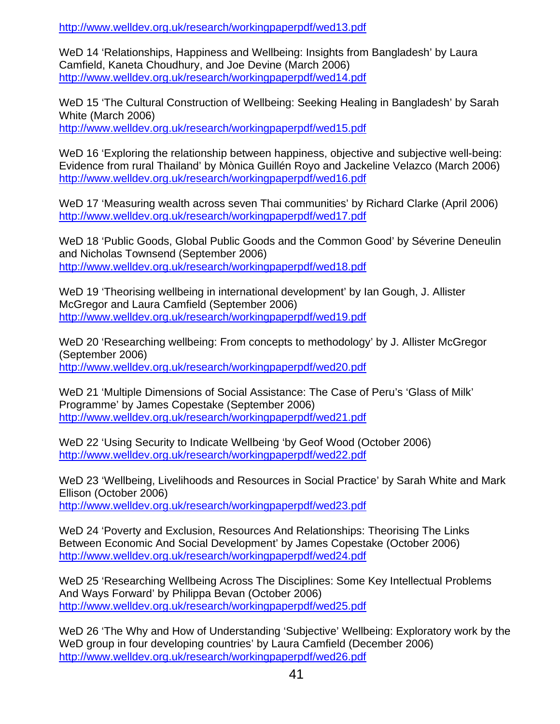http://www.welldev.org.uk/research/workingpaperpdf/wed13.pdf

WeD 14 'Relationships, Happiness and Wellbeing: Insights from Bangladesh' by Laura Camfield, Kaneta Choudhury, and Joe Devine (March 2006) http://www.welldev.org.uk/research/workingpaperpdf/wed14.pdf

WeD 15 'The Cultural Construction of Wellbeing: Seeking Healing in Bangladesh' by Sarah White (March 2006)

http://www.welldev.org.uk/research/workingpaperpdf/wed15.pdf

WeD 16 'Exploring the relationship between happiness, objective and subjective well-being: Evidence from rural Thailand' by Mònica Guillén Royo and Jackeline Velazco (March 2006) http://www.welldev.org.uk/research/workingpaperpdf/wed16.pdf

WeD 17 'Measuring wealth across seven Thai communities' by Richard Clarke (April 2006) http://www.welldev.org.uk/research/workingpaperpdf/wed17.pdf

WeD 18 'Public Goods, Global Public Goods and the Common Good' by Séverine Deneulin and Nicholas Townsend (September 2006) http://www.welldev.org.uk/research/workingpaperpdf/wed18.pdf

WeD 19 'Theorising wellbeing in international development' by Ian Gough, J. Allister McGregor and Laura Camfield (September 2006) http://www.welldev.org.uk/research/workingpaperpdf/wed19.pdf

WeD 20 'Researching wellbeing: From concepts to methodology' by J. Allister McGregor (September 2006) http://www.welldev.org.uk/research/workingpaperpdf/wed20.pdf

WeD 21 'Multiple Dimensions of Social Assistance: The Case of Peru's 'Glass of Milk' Programme' by James Copestake (September 2006) http://www.welldev.org.uk/research/workingpaperpdf/wed21.pdf

WeD 22 'Using Security to Indicate Wellbeing 'by Geof Wood (October 2006) http://www.welldev.org.uk/research/workingpaperpdf/wed22.pdf

WeD 23 'Wellbeing, Livelihoods and Resources in Social Practice' by Sarah White and Mark Ellison (October 2006)

http://www.welldev.org.uk/research/workingpaperpdf/wed23.pdf

WeD 24 'Poverty and Exclusion, Resources And Relationships: Theorising The Links Between Economic And Social Development' by James Copestake (October 2006) http://www.welldev.org.uk/research/workingpaperpdf/wed24.pdf

WeD 25 'Researching Wellbeing Across The Disciplines: Some Key Intellectual Problems And Ways Forward' by Philippa Bevan (October 2006) http://www.welldev.org.uk/research/workingpaperpdf/wed25.pdf

WeD 26 'The Why and How of Understanding 'Subjective' Wellbeing: Exploratory work by the WeD group in four developing countries' by Laura Camfield (December 2006) http://www.welldev.org.uk/research/workingpaperpdf/wed26.pdf